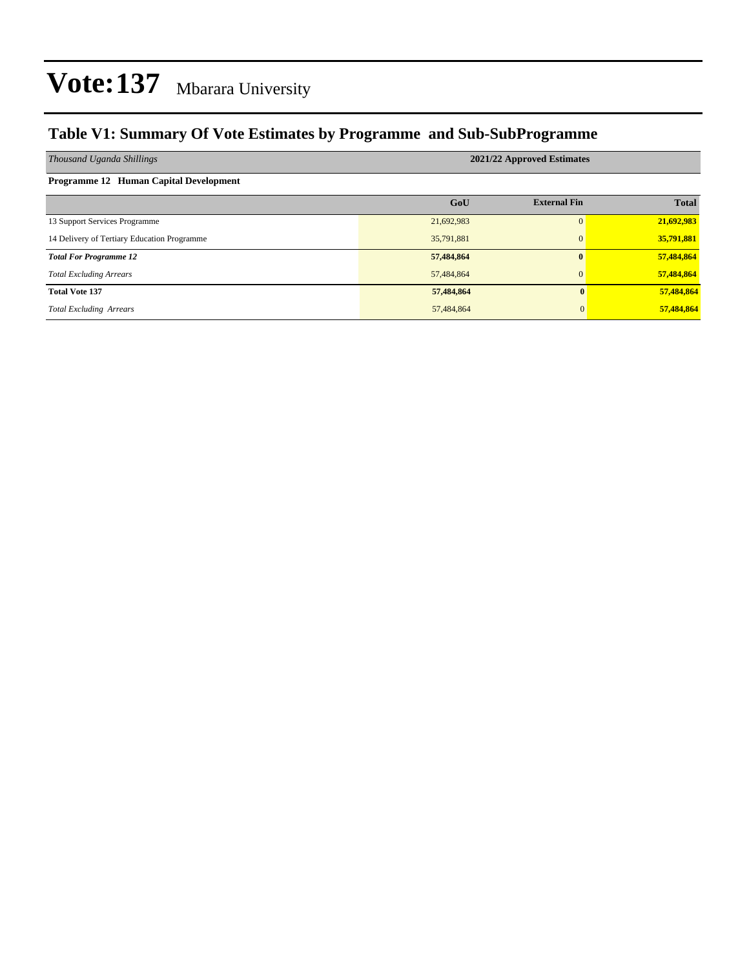#### **Table V1: Summary Of Vote Estimates by Programme and Sub-SubProgramme**

| Thousand Uganda Shillings                   | 2021/22 Approved Estimates |                     |              |  |  |  |  |
|---------------------------------------------|----------------------------|---------------------|--------------|--|--|--|--|
| Programme 12 Human Capital Development      |                            |                     |              |  |  |  |  |
|                                             | GoU                        | <b>External Fin</b> | <b>Total</b> |  |  |  |  |
| 13 Support Services Programme               | 21,692,983                 | $\Omega$            | 21,692,983   |  |  |  |  |
| 14 Delivery of Tertiary Education Programme | 35,791,881                 | $\mathbf{0}$        | 35,791,881   |  |  |  |  |
| <b>Total For Programme 12</b>               | 57,484,864                 | $\mathbf{0}$        | 57,484,864   |  |  |  |  |
| <b>Total Excluding Arrears</b>              | 57,484,864                 | $\mathbf{0}$        | 57,484,864   |  |  |  |  |
| <b>Total Vote 137</b>                       | 57,484,864                 | 0                   | 57,484,864   |  |  |  |  |
| <b>Total Excluding Arrears</b>              | 57,484,864                 | $\Omega$            | 57,484,864   |  |  |  |  |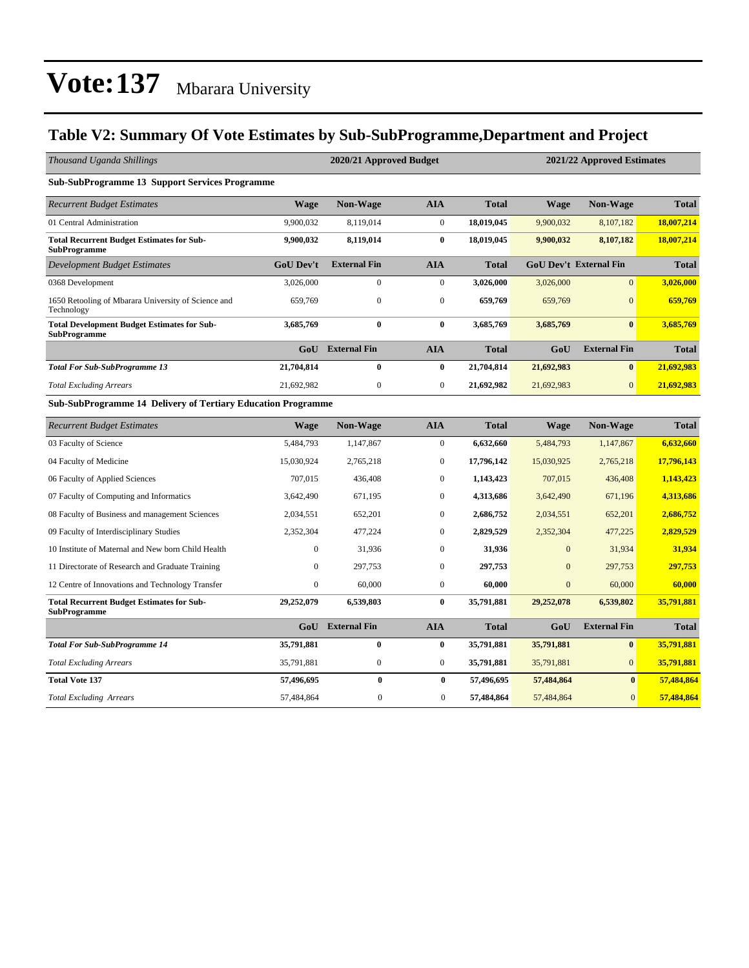#### **Table V2: Summary Of Vote Estimates by Sub-SubProgramme,Department and Project**

| Thousand Uganda Shillings                                                 |                  | 2020/21 Approved Budget |                  |              | 2021/22 Approved Estimates |                               |              |  |  |
|---------------------------------------------------------------------------|------------------|-------------------------|------------------|--------------|----------------------------|-------------------------------|--------------|--|--|
| <b>Sub-SubProgramme 13 Support Services Programme</b>                     |                  |                         |                  |              |                            |                               |              |  |  |
| <b>Recurrent Budget Estimates</b>                                         | <b>Wage</b>      | <b>Non-Wage</b>         | <b>AIA</b>       | <b>Total</b> | <b>Wage</b>                | <b>Non-Wage</b>               | <b>Total</b> |  |  |
| 01 Central Administration                                                 | 9,900,032        | 8,119,014               | $\boldsymbol{0}$ | 18,019,045   | 9,900,032                  | 8,107,182                     | 18,007,214   |  |  |
| <b>Total Recurrent Budget Estimates for Sub-</b><br><b>SubProgramme</b>   | 9,900,032        | 8,119,014               | $\bf{0}$         | 18,019,045   | 9,900,032                  | 8,107,182                     | 18,007,214   |  |  |
| <b>Development Budget Estimates</b>                                       | <b>GoU Dev't</b> | <b>External Fin</b>     | <b>AIA</b>       | <b>Total</b> |                            | <b>GoU Dev't External Fin</b> | <b>Total</b> |  |  |
| 0368 Development                                                          | 3,026,000        | $\boldsymbol{0}$        | $\boldsymbol{0}$ | 3,026,000    | 3,026,000                  | $\mathbf{0}$                  | 3,026,000    |  |  |
| 1650 Retooling of Mbarara University of Science and<br>Technology         | 659,769          | $\boldsymbol{0}$        | $\boldsymbol{0}$ | 659,769      | 659,769                    | $\overline{0}$                | 659,769      |  |  |
| <b>Total Development Budget Estimates for Sub-</b><br><b>SubProgramme</b> | 3,685,769        | $\bf{0}$                | $\bf{0}$         | 3,685,769    | 3,685,769                  | $\bf{0}$                      | 3,685,769    |  |  |
|                                                                           | GoU              | <b>External Fin</b>     | <b>AIA</b>       | <b>Total</b> | GoU                        | <b>External Fin</b>           | <b>Total</b> |  |  |
| <b>Total For Sub-SubProgramme 13</b>                                      | 21,704,814       | $\bf{0}$                | $\bf{0}$         | 21,704,814   | 21,692,983                 | $\bf{0}$                      | 21,692,983   |  |  |
| <b>Total Excluding Arrears</b>                                            | 21,692,982       | $\boldsymbol{0}$        | $\boldsymbol{0}$ | 21,692,982   | 21,692,983                 | $\overline{0}$                | 21,692,983   |  |  |
| <b>Sub-SubProgramme 14 Delivery of Tertiary Education Programme</b>       |                  |                         |                  |              |                            |                               |              |  |  |
| <b>Recurrent Budget Estimates</b>                                         | <b>Wage</b>      | Non-Wage                | <b>AIA</b>       | <b>Total</b> | <b>Wage</b>                | Non-Wage                      | <b>Total</b> |  |  |
| 03 Faculty of Science                                                     | 5,484,793        | 1,147,867               | $\mathbf{0}$     | 6,632,660    | 5,484,793                  | 1,147,867                     | 6,632,660    |  |  |
| 04 Faculty of Medicine                                                    | 15,030,924       | 2,765,218               | $\boldsymbol{0}$ | 17,796,142   | 15,030,925                 | 2,765,218                     | 17,796,143   |  |  |
| 06 Faculty of Applied Sciences                                            | 707,015          | 436,408                 | $\boldsymbol{0}$ | 1,143,423    | 707,015                    | 436,408                       | 1,143,423    |  |  |
| 07 Faculty of Computing and Informatics                                   | 3,642,490        | 671.195                 | $\mathbf{0}$     | 4,313,686    | 3,642,490                  | 671,196                       | 4,313,686    |  |  |
| 08 Faculty of Business and management Sciences                            | 2,034,551        | 652,201                 | $\mathbf{0}$     | 2,686,752    | 2,034,551                  | 652,201                       | 2,686,752    |  |  |
| 09 Faculty of Interdisciplinary Studies                                   | 2,352,304        | 477,224                 | $\mathbf{0}$     | 2,829,529    | 2,352,304                  | 477,225                       | 2,829,529    |  |  |
| 10 Institute of Maternal and New born Child Health                        | $\mathbf{0}$     | 31,936                  | $\mathbf{0}$     | 31,936       | $\mathbf{0}$               | 31,934                        | 31,934       |  |  |
| 11 Directorate of Research and Graduate Training                          | $\boldsymbol{0}$ | 297,753                 | $\mathbf{0}$     | 297,753      | $\mathbf{0}$               | 297,753                       | 297,753      |  |  |
| 12 Centre of Innovations and Technology Transfer                          | $\boldsymbol{0}$ | 60,000                  | $\boldsymbol{0}$ | 60,000       | $\mathbf{0}$               | 60,000                        | 60,000       |  |  |
| <b>Total Recurrent Budget Estimates for Sub-</b><br><b>SubProgramme</b>   | 29,252,079       | 6,539,803               | $\mathbf{0}$     | 35,791,881   | 29,252,078                 | 6,539,802                     | 35,791,881   |  |  |
|                                                                           | GoU              | <b>External Fin</b>     | <b>AIA</b>       | <b>Total</b> | GoU                        | <b>External Fin</b>           | <b>Total</b> |  |  |
| <b>Total For Sub-SubProgramme 14</b>                                      | 35,791,881       | $\bf{0}$                | $\bf{0}$         | 35,791,881   | 35,791,881                 | $\bf{0}$                      | 35,791,881   |  |  |
| <b>Total Excluding Arrears</b>                                            | 35,791,881       | $\boldsymbol{0}$        | $\boldsymbol{0}$ | 35,791,881   | 35,791,881                 | $\mathbf{0}$                  | 35,791,881   |  |  |
| <b>Total Vote 137</b>                                                     | 57,496,695       | $\bf{0}$                | $\bf{0}$         | 57,496,695   | 57,484,864                 | $\bf{0}$                      | 57,484,864   |  |  |
| <b>Total Excluding Arrears</b>                                            | 57,484,864       | $\mathbf{0}$            | $\boldsymbol{0}$ | 57,484,864   | 57,484,864                 | $\mathbf{0}$                  | 57,484,864   |  |  |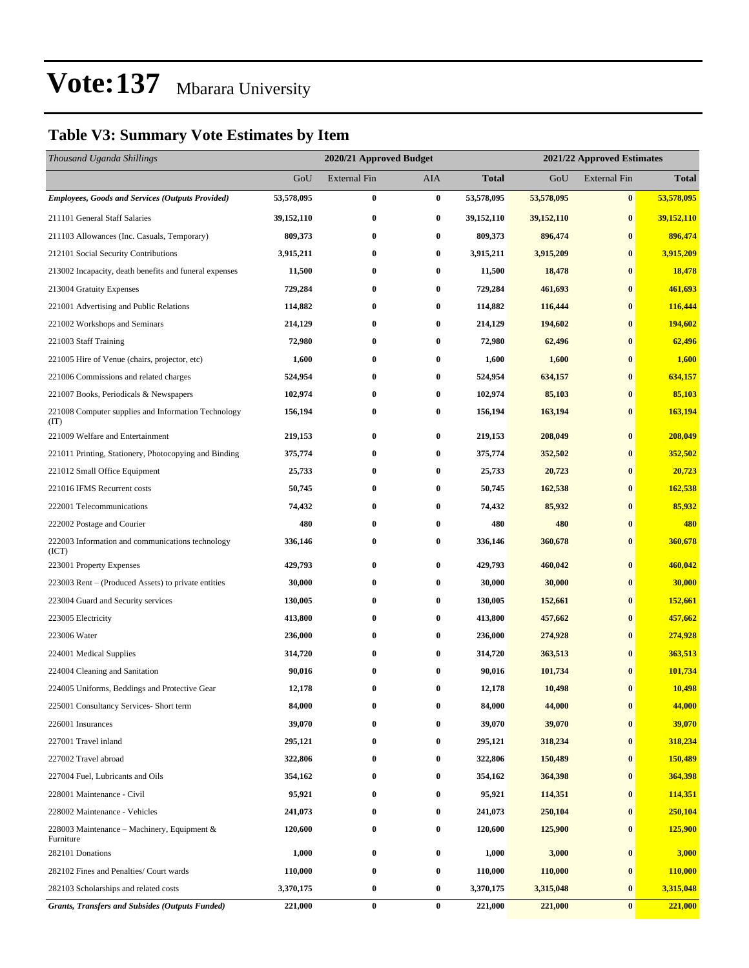#### **Table V3: Summary Vote Estimates by Item**

| Thousand Uganda Shillings                                   | 2020/21 Approved Budget |                     |            |              | 2021/22 Approved Estimates |                     |              |  |
|-------------------------------------------------------------|-------------------------|---------------------|------------|--------------|----------------------------|---------------------|--------------|--|
|                                                             | GoU                     | <b>External Fin</b> | <b>AIA</b> | <b>Total</b> | GoU                        | <b>External Fin</b> | <b>Total</b> |  |
| <b>Employees, Goods and Services (Outputs Provided)</b>     | 53,578,095              | $\bf{0}$            | $\bf{0}$   | 53,578,095   | 53,578,095                 | $\bf{0}$            | 53,578,095   |  |
| 211101 General Staff Salaries                               | 39,152,110              | $\bf{0}$            | $\bf{0}$   | 39, 152, 110 | 39,152,110                 | $\bf{0}$            | 39,152,110   |  |
| 211103 Allowances (Inc. Casuals, Temporary)                 | 809,373                 | 0                   | $\bf{0}$   | 809,373      | 896,474                    | $\bf{0}$            | 896,474      |  |
| 212101 Social Security Contributions                        | 3,915,211               | $\bf{0}$            | $\bf{0}$   | 3,915,211    | 3,915,209                  | $\bf{0}$            | 3,915,209    |  |
| 213002 Incapacity, death benefits and funeral expenses      | 11,500                  | 0                   | $\bf{0}$   | 11,500       | 18,478                     | $\bf{0}$            | 18,478       |  |
| 213004 Gratuity Expenses                                    | 729,284                 | 0                   | $\bf{0}$   | 729,284      | 461,693                    | $\bf{0}$            | 461,693      |  |
| 221001 Advertising and Public Relations                     | 114,882                 | $\bf{0}$            | $\bf{0}$   | 114,882      | 116,444                    | $\bf{0}$            | 116,444      |  |
| 221002 Workshops and Seminars                               | 214,129                 | 0                   | $\bf{0}$   | 214,129      | 194,602                    | $\bf{0}$            | 194,602      |  |
| 221003 Staff Training                                       | 72,980                  | $\bf{0}$            | $\bf{0}$   | 72,980       | 62,496                     | $\bf{0}$            | 62,496       |  |
| 221005 Hire of Venue (chairs, projector, etc)               | 1,600                   | 0                   | $\bf{0}$   | 1,600        | 1,600                      | $\bf{0}$            | 1,600        |  |
| 221006 Commissions and related charges                      | 524,954                 | 0                   | $\bf{0}$   | 524,954      | 634,157                    | $\bf{0}$            | 634,157      |  |
| 221007 Books, Periodicals & Newspapers                      | 102,974                 | $\bf{0}$            | $\bf{0}$   | 102,974      | 85,103                     | $\bf{0}$            | 85,103       |  |
| 221008 Computer supplies and Information Technology<br>(TT) | 156,194                 | 0                   | $\bf{0}$   | 156,194      | 163,194                    | $\bf{0}$            | 163,194      |  |
| 221009 Welfare and Entertainment                            | 219,153                 | $\bf{0}$            | $\bf{0}$   | 219,153      | 208,049                    | $\bf{0}$            | 208,049      |  |
| 221011 Printing, Stationery, Photocopying and Binding       | 375,774                 | $\bf{0}$            | $\bf{0}$   | 375,774      | 352,502                    | $\bf{0}$            | 352,502      |  |
| 221012 Small Office Equipment                               | 25,733                  | 0                   | $\bf{0}$   | 25,733       | 20,723                     | $\bf{0}$            | 20,723       |  |
| 221016 IFMS Recurrent costs                                 | 50,745                  | 0                   | $\bf{0}$   | 50,745       | 162,538                    | $\bf{0}$            | 162,538      |  |
| 222001 Telecommunications                                   | 74,432                  | $\bf{0}$            | $\bf{0}$   | 74,432       | 85,932                     | $\bf{0}$            | 85,932       |  |
| 222002 Postage and Courier                                  | 480                     | 0                   | $\bf{0}$   | 480          | 480                        | $\bf{0}$            | 480          |  |
| 222003 Information and communications technology<br>(ICT)   | 336,146                 | $\bf{0}$            | $\bf{0}$   | 336,146      | 360,678                    | $\bf{0}$            | 360,678      |  |
| 223001 Property Expenses                                    | 429,793                 | $\bf{0}$            | $\bf{0}$   | 429,793      | 460,042                    | $\bf{0}$            | 460,042      |  |
| 223003 Rent – (Produced Assets) to private entities         | 30,000                  | 0                   | $\bf{0}$   | 30,000       | 30,000                     | $\bf{0}$            | 30,000       |  |
| 223004 Guard and Security services                          | 130,005                 | 0                   | $\bf{0}$   | 130,005      | 152,661                    | $\bf{0}$            | 152,661      |  |
| 223005 Electricity                                          | 413,800                 | 0                   | $\bf{0}$   | 413,800      | 457,662                    | $\bf{0}$            | 457,662      |  |
| 223006 Water                                                | 236,000                 | 0                   | $\bf{0}$   | 236,000      | 274,928                    | $\bf{0}$            | 274,928      |  |
| 224001 Medical Supplies                                     | 314,720                 | 0                   | $\bf{0}$   | 314,720      | 363,513                    | $\bf{0}$            | 363,513      |  |
| 224004 Cleaning and Sanitation                              | 90,016                  | 0                   | $\bf{0}$   | 90,016       | 101,734                    | $\bf{0}$            | 101,734      |  |
| 224005 Uniforms, Beddings and Protective Gear               | 12,178                  | $\bf{0}$            | $\bf{0}$   | 12,178       | 10,498                     | $\bf{0}$            | 10,498       |  |
| 225001 Consultancy Services- Short term                     | 84,000                  | $\bf{0}$            | $\bf{0}$   | 84,000       | 44,000                     | $\bf{0}$            | 44,000       |  |
| 226001 Insurances                                           | 39,070                  | $\bf{0}$            | $\bf{0}$   | 39,070       | 39,070                     | $\bf{0}$            | 39,070       |  |
| 227001 Travel inland                                        | 295,121                 | $\bf{0}$            | $\bf{0}$   | 295,121      | 318,234                    | $\bf{0}$            | 318,234      |  |
| 227002 Travel abroad                                        | 322,806                 | $\bf{0}$            | $\bf{0}$   | 322,806      | 150,489                    | $\bf{0}$            | 150,489      |  |
| 227004 Fuel, Lubricants and Oils                            | 354,162                 | $\bf{0}$            | $\bf{0}$   | 354,162      | 364,398                    | $\bf{0}$            | 364,398      |  |
| 228001 Maintenance - Civil                                  | 95,921                  | $\bf{0}$            | $\bf{0}$   | 95,921       | 114,351                    | $\bf{0}$            | 114,351      |  |
| 228002 Maintenance - Vehicles                               | 241,073                 | 0                   | $\bf{0}$   | 241,073      | 250,104                    | $\bf{0}$            | 250,104      |  |
| 228003 Maintenance – Machinery, Equipment $\&$<br>Furniture | 120,600                 | $\bf{0}$            | $\bf{0}$   | 120,600      | 125,900                    | $\bf{0}$            | 125,900      |  |
| 282101 Donations                                            | 1,000                   | $\bf{0}$            | $\bf{0}$   | 1,000        | 3,000                      | $\bf{0}$            | 3,000        |  |
| 282102 Fines and Penalties/ Court wards                     | 110,000                 | $\bf{0}$            | $\bf{0}$   | 110,000      | 110,000                    | $\bf{0}$            | 110,000      |  |
| 282103 Scholarships and related costs                       | 3,370,175               | 0                   | $\bf{0}$   | 3,370,175    | 3,315,048                  | $\bf{0}$            | 3,315,048    |  |
| <b>Grants, Transfers and Subsides (Outputs Funded)</b>      | 221,000                 | $\boldsymbol{0}$    | $\bf{0}$   | 221,000      | 221,000                    | $\bf{0}$            | 221,000      |  |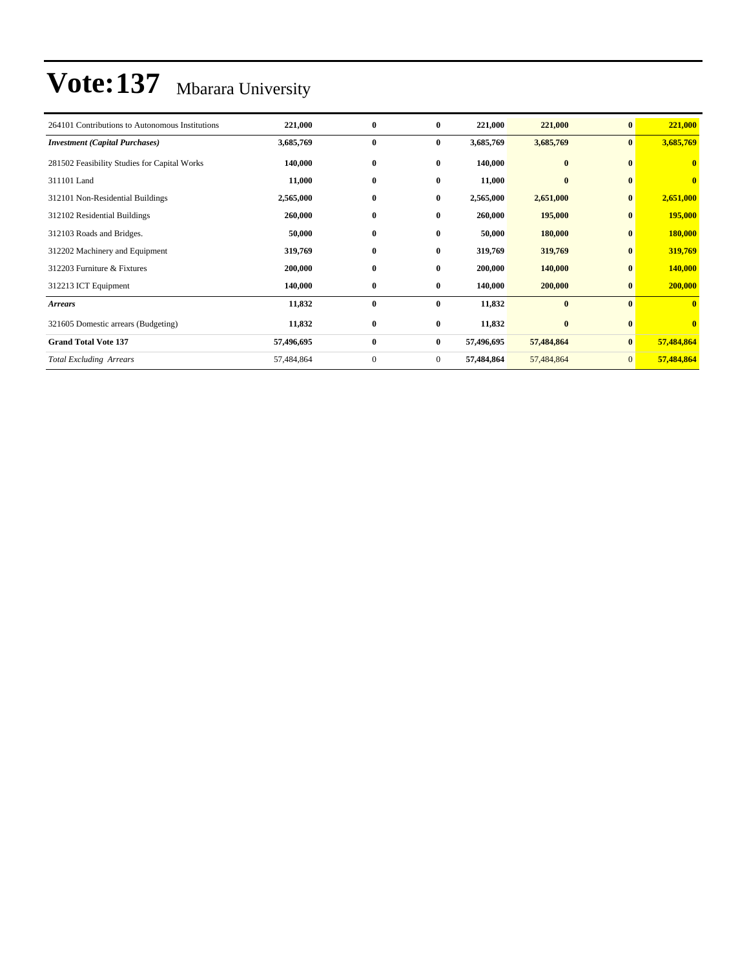| 264101 Contributions to Autonomous Institutions | 221,000    | $\bf{0}$         | $\bf{0}$       | 221,000    | 221,000    | $\bf{0}$        | 221,000                 |
|-------------------------------------------------|------------|------------------|----------------|------------|------------|-----------------|-------------------------|
| <b>Investment</b> (Capital Purchases)           | 3,685,769  | $\bf{0}$         | $\bf{0}$       | 3,685,769  | 3,685,769  | $\bf{0}$        | 3,685,769               |
| 281502 Feasibility Studies for Capital Works    | 140,000    | $\bf{0}$         | $\bf{0}$       | 140,000    | $\bf{0}$   | $\mathbf{0}$    | $\overline{\mathbf{0}}$ |
| 311101 Land                                     | 11,000     | $\bf{0}$         | $\bf{0}$       | 11,000     | $\bf{0}$   | $\bf{0}$        | $\bf{0}$                |
| 312101 Non-Residential Buildings                | 2,565,000  | $\bf{0}$         | $\bf{0}$       | 2,565,000  | 2,651,000  | $\bf{0}$        | 2,651,000               |
| 312102 Residential Buildings                    | 260,000    | $\bf{0}$         | $\bf{0}$       | 260,000    | 195,000    | $\bf{0}$        | 195,000                 |
| 312103 Roads and Bridges.                       | 50,000     | $\bf{0}$         | $\bf{0}$       | 50,000     | 180,000    | $\bf{0}$        | 180,000                 |
| 312202 Machinery and Equipment                  | 319,769    | $\bf{0}$         | $\bf{0}$       | 319,769    | 319,769    | $\bf{0}$        | 319,769                 |
| 312203 Furniture & Fixtures                     | 200,000    | $\bf{0}$         | $\bf{0}$       | 200,000    | 140,000    | $\bf{0}$        | 140,000                 |
| 312213 ICT Equipment                            | 140,000    | $\bf{0}$         | $\bf{0}$       | 140,000    | 200,000    | $\bf{0}$        | 200,000                 |
| <b>Arrears</b>                                  | 11,832     | $\bf{0}$         | $\bf{0}$       | 11,832     | $\bf{0}$   | $\mathbf{0}$    | $\mathbf{0}$            |
| 321605 Domestic arrears (Budgeting)             | 11,832     | $\bf{0}$         | $\bf{0}$       | 11,832     | $\bf{0}$   | $\bf{0}$        | $\overline{\mathbf{0}}$ |
| <b>Grand Total Vote 137</b>                     | 57,496,695 | $\bf{0}$         | $\bf{0}$       | 57,496,695 | 57,484,864 | $\bf{0}$        | 57,484,864              |
| <b>Total Excluding Arrears</b>                  | 57,484,864 | $\boldsymbol{0}$ | $\overline{0}$ | 57,484,864 | 57,484,864 | $\vert 0 \vert$ | 57,484,864              |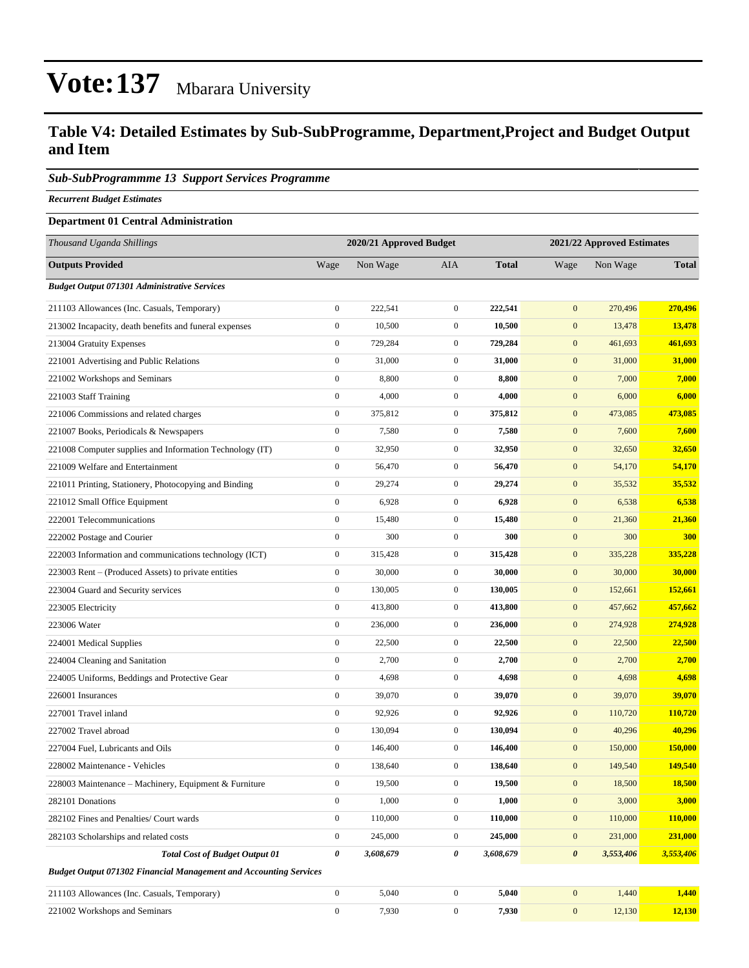#### **Table V4: Detailed Estimates by Sub-SubProgramme, Department,Project and Budget Output and Item**

#### *Sub-SubProgrammme 13 Support Services Programme*

*Recurrent Budget Estimates*

#### **Department 01 Central Administration**

| Thousand Uganda Shillings                                                | 2020/21 Approved Budget<br>2021/22 Approved Estimates |           |                  |              |                       |           |               |
|--------------------------------------------------------------------------|-------------------------------------------------------|-----------|------------------|--------------|-----------------------|-----------|---------------|
| <b>Outputs Provided</b>                                                  | Wage                                                  | Non Wage  | AIA              | <b>Total</b> | Wage                  | Non Wage  | <b>Total</b>  |
| <b>Budget Output 071301 Administrative Services</b>                      |                                                       |           |                  |              |                       |           |               |
| 211103 Allowances (Inc. Casuals, Temporary)                              | $\boldsymbol{0}$                                      | 222,541   | $\overline{0}$   | 222,541      | $\mathbf{0}$          | 270,496   | 270,496       |
| 213002 Incapacity, death benefits and funeral expenses                   | $\boldsymbol{0}$                                      | 10,500    | $\overline{0}$   | 10,500       | $\mathbf{0}$          | 13,478    | 13,478        |
| 213004 Gratuity Expenses                                                 | $\boldsymbol{0}$                                      | 729,284   | $\mathbf{0}$     | 729,284      | $\mathbf{0}$          | 461,693   | 461,693       |
| 221001 Advertising and Public Relations                                  | $\boldsymbol{0}$                                      | 31,000    | $\boldsymbol{0}$ | 31,000       | $\mathbf{0}$          | 31,000    | 31,000        |
| 221002 Workshops and Seminars                                            | $\boldsymbol{0}$                                      | 8,800     | $\boldsymbol{0}$ | 8,800        | $\mathbf{0}$          | 7,000     | 7,000         |
| 221003 Staff Training                                                    | $\boldsymbol{0}$                                      | 4,000     | $\overline{0}$   | 4,000        | $\mathbf{0}$          | 6,000     | 6,000         |
| 221006 Commissions and related charges                                   | $\boldsymbol{0}$                                      | 375,812   | $\overline{0}$   | 375,812      | $\mathbf{0}$          | 473,085   | 473,085       |
| 221007 Books, Periodicals & Newspapers                                   | $\boldsymbol{0}$                                      | 7,580     | $\mathbf{0}$     | 7,580        | $\mathbf{0}$          | 7,600     | 7,600         |
| 221008 Computer supplies and Information Technology (IT)                 | $\boldsymbol{0}$                                      | 32,950    | $\boldsymbol{0}$ | 32,950       | $\mathbf{0}$          | 32,650    | 32,650        |
| 221009 Welfare and Entertainment                                         | $\boldsymbol{0}$                                      | 56,470    | $\boldsymbol{0}$ | 56,470       | $\mathbf{0}$          | 54,170    | 54,170        |
| 221011 Printing, Stationery, Photocopying and Binding                    | $\boldsymbol{0}$                                      | 29,274    | $\mathbf{0}$     | 29,274       | $\mathbf{0}$          | 35,532    | 35,532        |
| 221012 Small Office Equipment                                            | $\boldsymbol{0}$                                      | 6,928     | $\boldsymbol{0}$ | 6,928        | $\mathbf{0}$          | 6,538     | 6,538         |
| 222001 Telecommunications                                                | $\boldsymbol{0}$                                      | 15,480    | $\mathbf{0}$     | 15,480       | $\mathbf{0}$          | 21,360    | 21,360        |
| 222002 Postage and Courier                                               | $\boldsymbol{0}$                                      | 300       | $\overline{0}$   | 300          | $\mathbf{0}$          | 300       | 300           |
| 222003 Information and communications technology (ICT)                   | $\boldsymbol{0}$                                      | 315,428   | $\mathbf{0}$     | 315,428      | $\mathbf{0}$          | 335,228   | 335,228       |
| 223003 Rent – (Produced Assets) to private entities                      | $\boldsymbol{0}$                                      | 30,000    | $\overline{0}$   | 30,000       | $\mathbf{0}$          | 30,000    | 30,000        |
| 223004 Guard and Security services                                       | $\mathbf{0}$                                          | 130,005   | $\overline{0}$   | 130,005      | $\mathbf{0}$          | 152,661   | 152,661       |
| 223005 Electricity                                                       | $\boldsymbol{0}$                                      | 413,800   | $\mathbf{0}$     | 413,800      | $\mathbf{0}$          | 457,662   | 457,662       |
| 223006 Water                                                             | $\boldsymbol{0}$                                      | 236,000   | $\boldsymbol{0}$ | 236,000      | $\mathbf{0}$          | 274,928   | 274,928       |
| 224001 Medical Supplies                                                  | $\boldsymbol{0}$                                      | 22,500    | $\boldsymbol{0}$ | 22,500       | $\mathbf{0}$          | 22,500    | 22,500        |
| 224004 Cleaning and Sanitation                                           | $\boldsymbol{0}$                                      | 2,700     | $\overline{0}$   | 2,700        | $\mathbf{0}$          | 2,700     | 2,700         |
| 224005 Uniforms, Beddings and Protective Gear                            | $\boldsymbol{0}$                                      | 4,698     | $\overline{0}$   | 4,698        | $\mathbf{0}$          | 4,698     | 4,698         |
| 226001 Insurances                                                        | $\boldsymbol{0}$                                      | 39,070    | $\mathbf{0}$     | 39,070       | $\mathbf{0}$          | 39,070    | 39,070        |
| 227001 Travel inland                                                     | $\boldsymbol{0}$                                      | 92,926    | $\boldsymbol{0}$ | 92,926       | $\mathbf{0}$          | 110,720   | 110,720       |
| 227002 Travel abroad                                                     | $\boldsymbol{0}$                                      | 130,094   | $\mathbf{0}$     | 130,094      | $\mathbf{0}$          | 40,296    | 40,296        |
| 227004 Fuel, Lubricants and Oils                                         | $\boldsymbol{0}$                                      | 146,400   | $\mathbf{0}$     | 146,400      | $\mathbf{0}$          | 150,000   | 150,000       |
| 228002 Maintenance - Vehicles                                            | $\boldsymbol{0}$                                      | 138,640   | $\mathbf{0}$     | 138,640      | $\mathbf{0}$          | 149,540   | 149,540       |
| 228003 Maintenance – Machinery, Equipment & Furniture                    | $\boldsymbol{0}$                                      | 19,500    | $\boldsymbol{0}$ | 19,500       | $\mathbf{0}$          | 18,500    | 18,500        |
| 282101 Donations                                                         | $\boldsymbol{0}$                                      | 1,000     | $\overline{0}$   | 1,000        | $\boldsymbol{0}$      | 3,000     | 3,000         |
| 282102 Fines and Penalties/ Court wards                                  | $\boldsymbol{0}$                                      | 110,000   | $\boldsymbol{0}$ | 110,000      | $\boldsymbol{0}$      | 110,000   | 110,000       |
| 282103 Scholarships and related costs                                    | $\boldsymbol{0}$                                      | 245,000   | $\boldsymbol{0}$ | 245,000      | $\mathbf{0}$          | 231,000   | 231,000       |
| <b>Total Cost of Budget Output 01</b>                                    | 0                                                     | 3,608,679 | 0                | 3,608,679    | $\boldsymbol{\theta}$ | 3,553,406 | 3,553,406     |
| <b>Budget Output 071302 Financial Management and Accounting Services</b> |                                                       |           |                  |              |                       |           |               |
| 211103 Allowances (Inc. Casuals, Temporary)                              | $\boldsymbol{0}$                                      | 5,040     | $\boldsymbol{0}$ | 5,040        | $\mathbf{0}$          | 1,440     | 1,440         |
| 221002 Workshops and Seminars                                            | $\boldsymbol{0}$                                      | 7,930     | $\boldsymbol{0}$ | 7,930        | $\boldsymbol{0}$      | 12,130    | <b>12,130</b> |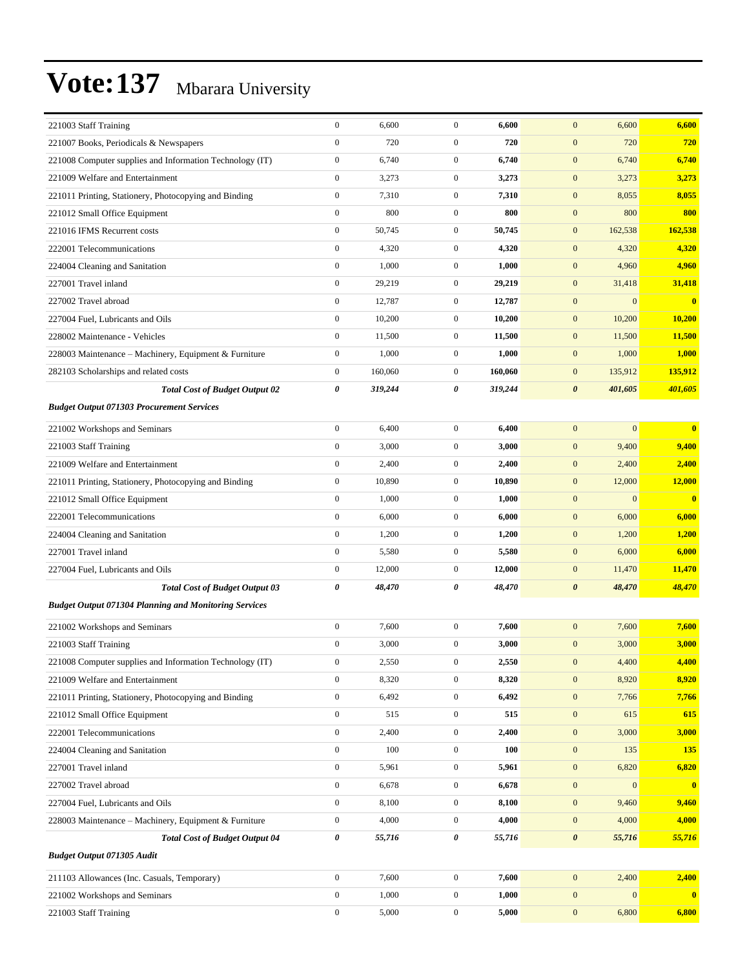| 221003 Staff Training                                        | $\boldsymbol{0}$ | 6,600   | $\mathbf{0}$     | 6,600   | 6,600<br>$\mathbf{0}$                | 6,600                   |
|--------------------------------------------------------------|------------------|---------|------------------|---------|--------------------------------------|-------------------------|
| 221007 Books, Periodicals & Newspapers                       | $\mathbf{0}$     | 720     | $\overline{0}$   | 720     | $\mathbf{0}$<br>720                  | 720                     |
| 221008 Computer supplies and Information Technology (IT)     | $\boldsymbol{0}$ | 6,740   | $\mathbf{0}$     | 6,740   | $\mathbf{0}$<br>6,740                | 6,740                   |
| 221009 Welfare and Entertainment                             | $\boldsymbol{0}$ | 3,273   | $\mathbf{0}$     | 3,273   | $\mathbf{0}$<br>3,273                | 3,273                   |
| 221011 Printing, Stationery, Photocopying and Binding        | $\boldsymbol{0}$ | 7,310   | $\mathbf{0}$     | 7,310   | $\mathbf{0}$<br>8,055                | 8,055                   |
| 221012 Small Office Equipment                                | $\boldsymbol{0}$ | 800     | $\mathbf{0}$     | 800     | $\mathbf{0}$<br>800                  | 800                     |
| 221016 IFMS Recurrent costs                                  | $\boldsymbol{0}$ | 50,745  | $\mathbf{0}$     | 50,745  | $\mathbf{0}$<br>162,538              | 162,538                 |
| 222001 Telecommunications                                    | $\boldsymbol{0}$ | 4,320   | $\mathbf{0}$     | 4,320   | $\mathbf{0}$<br>4,320                | 4,320                   |
| 224004 Cleaning and Sanitation                               | $\boldsymbol{0}$ | 1,000   | $\mathbf{0}$     | 1,000   | $\mathbf{0}$<br>4,960                | 4,960                   |
| 227001 Travel inland                                         | $\boldsymbol{0}$ | 29,219  | $\mathbf{0}$     | 29,219  | $\mathbf{0}$<br>31,418               | 31,418                  |
| 227002 Travel abroad                                         | $\boldsymbol{0}$ | 12,787  | $\mathbf{0}$     | 12,787  | $\mathbf{0}$<br>$\overline{0}$       | $\bf{0}$                |
| 227004 Fuel, Lubricants and Oils                             | $\boldsymbol{0}$ | 10,200  | $\overline{0}$   | 10,200  | $\mathbf{0}$<br>10,200               | 10,200                  |
| 228002 Maintenance - Vehicles                                | $\boldsymbol{0}$ | 11,500  | $\mathbf{0}$     | 11,500  | $\mathbf{0}$<br>11,500               | 11,500                  |
| 228003 Maintenance – Machinery, Equipment & Furniture        | $\boldsymbol{0}$ | 1,000   | $\mathbf{0}$     | 1,000   | $\mathbf{0}$<br>1,000                | 1,000                   |
| 282103 Scholarships and related costs                        | $\boldsymbol{0}$ | 160,060 | $\mathbf{0}$     | 160,060 | $\mathbf{0}$<br>135,912              | 135,912                 |
| <b>Total Cost of Budget Output 02</b>                        | 0                | 319,244 | 0                | 319,244 | $\boldsymbol{\theta}$<br>401,605     | 401,605                 |
| <b>Budget Output 071303 Procurement Services</b>             |                  |         |                  |         |                                      |                         |
| 221002 Workshops and Seminars                                | $\boldsymbol{0}$ | 6,400   | $\overline{0}$   | 6,400   | $\mathbf{0}$<br>$\mathbf{0}$         | $\overline{\mathbf{0}}$ |
| 221003 Staff Training                                        | $\boldsymbol{0}$ | 3,000   | $\mathbf{0}$     | 3,000   | $\mathbf{0}$<br>9,400                | 9,400                   |
| 221009 Welfare and Entertainment                             | $\boldsymbol{0}$ | 2,400   | $\mathbf{0}$     | 2,400   | $\mathbf{0}$<br>2,400                | 2,400                   |
| 221011 Printing, Stationery, Photocopying and Binding        | $\boldsymbol{0}$ | 10,890  | $\mathbf{0}$     | 10,890  | $\mathbf{0}$<br>12,000               | 12,000                  |
| 221012 Small Office Equipment                                | $\boldsymbol{0}$ | 1,000   | $\mathbf{0}$     | 1,000   | $\mathbf{0}$<br>$\boldsymbol{0}$     | $\bf{0}$                |
| 222001 Telecommunications                                    | $\boldsymbol{0}$ | 6,000   | $\overline{0}$   | 6,000   | $\mathbf{0}$<br>6,000                | 6,000                   |
| 224004 Cleaning and Sanitation                               | $\boldsymbol{0}$ | 1,200   | $\mathbf{0}$     | 1,200   | $\mathbf{0}$<br>1,200                | 1,200                   |
| 227001 Travel inland                                         | $\boldsymbol{0}$ | 5,580   | $\mathbf{0}$     | 5,580   | $\mathbf{0}$<br>6,000                | 6,000                   |
| 227004 Fuel, Lubricants and Oils                             | $\boldsymbol{0}$ | 12,000  | $\boldsymbol{0}$ | 12,000  | $\mathbf{0}$<br>11,470               | 11,470                  |
| <b>Total Cost of Budget Output 03</b>                        | 0                | 48,470  | 0                | 48,470  | $\boldsymbol{\theta}$<br>48,470      | 48,470                  |
| <b>Budget Output 071304 Planning and Monitoring Services</b> |                  |         |                  |         |                                      |                         |
|                                                              | $\boldsymbol{0}$ |         | $\overline{0}$   |         | $\mathbf{0}$                         |                         |
| 221002 Workshops and Seminars                                |                  | 7,600   |                  | 7,600   | 7,600                                | 7,600                   |
| 221003 Staff Training                                        | $\mathbf{0}$     | 3,000   | $\mathbf{0}$     | 3,000   | $\mathbf{0}$<br>3,000                | 3,000                   |
| 221008 Computer supplies and Information Technology (IT)     | $\boldsymbol{0}$ | 2,550   | $\boldsymbol{0}$ | 2,550   | 4,400<br>$\boldsymbol{0}$            | 4,400                   |
| 221009 Welfare and Entertainment                             | $\boldsymbol{0}$ | 8,320   | $\boldsymbol{0}$ | 8,320   | $\mathbf{0}$<br>8,920                | 8,920                   |
| 221011 Printing, Stationery, Photocopying and Binding        | $\boldsymbol{0}$ | 6,492   | $\mathbf{0}$     | 6,492   | $\boldsymbol{0}$<br>7,766            | 7,766                   |
| 221012 Small Office Equipment                                | $\boldsymbol{0}$ | 515     | $\boldsymbol{0}$ | 515     | $\boldsymbol{0}$<br>615              | 615                     |
| 222001 Telecommunications                                    | $\boldsymbol{0}$ | 2,400   | $\boldsymbol{0}$ | 2,400   | $\mathbf{0}$<br>3,000                | 3,000                   |
| 224004 Cleaning and Sanitation                               | $\boldsymbol{0}$ | 100     | $\boldsymbol{0}$ | 100     | $\mathbf{0}$<br>135                  | 135                     |
| 227001 Travel inland                                         | $\boldsymbol{0}$ | 5,961   | $\boldsymbol{0}$ | 5,961   | $\boldsymbol{0}$<br>6,820            | 6,820                   |
| 227002 Travel abroad                                         | $\boldsymbol{0}$ | 6,678   | $\mathbf{0}$     | 6,678   | $\boldsymbol{0}$<br>$\boldsymbol{0}$ | $\mathbf{0}$            |
| 227004 Fuel, Lubricants and Oils                             | $\boldsymbol{0}$ | 8,100   | $\boldsymbol{0}$ | 8,100   | $\boldsymbol{0}$<br>9,460            | 9,460                   |
| 228003 Maintenance - Machinery, Equipment & Furniture        | $\boldsymbol{0}$ | 4,000   | $\boldsymbol{0}$ | 4,000   | $\boldsymbol{0}$<br>4,000            | 4,000                   |
| <b>Total Cost of Budget Output 04</b>                        | 0                | 55,716  | 0                | 55,716  | $\boldsymbol{\theta}$<br>55,716      | 55,716                  |
| <b>Budget Output 071305 Audit</b>                            |                  |         |                  |         |                                      |                         |
| 211103 Allowances (Inc. Casuals, Temporary)                  | $\boldsymbol{0}$ | 7,600   | $\boldsymbol{0}$ | 7,600   | $\mathbf{0}$<br>2,400                | 2,400                   |
| 221002 Workshops and Seminars                                | $\boldsymbol{0}$ | 1,000   | $\mathbf{0}$     | 1,000   | $\boldsymbol{0}$<br>$\mathbf{0}$     | $\bf{0}$                |
| 221003 Staff Training                                        | $\boldsymbol{0}$ | 5,000   | $\boldsymbol{0}$ | 5,000   | $\boldsymbol{0}$<br>6,800            | 6,800                   |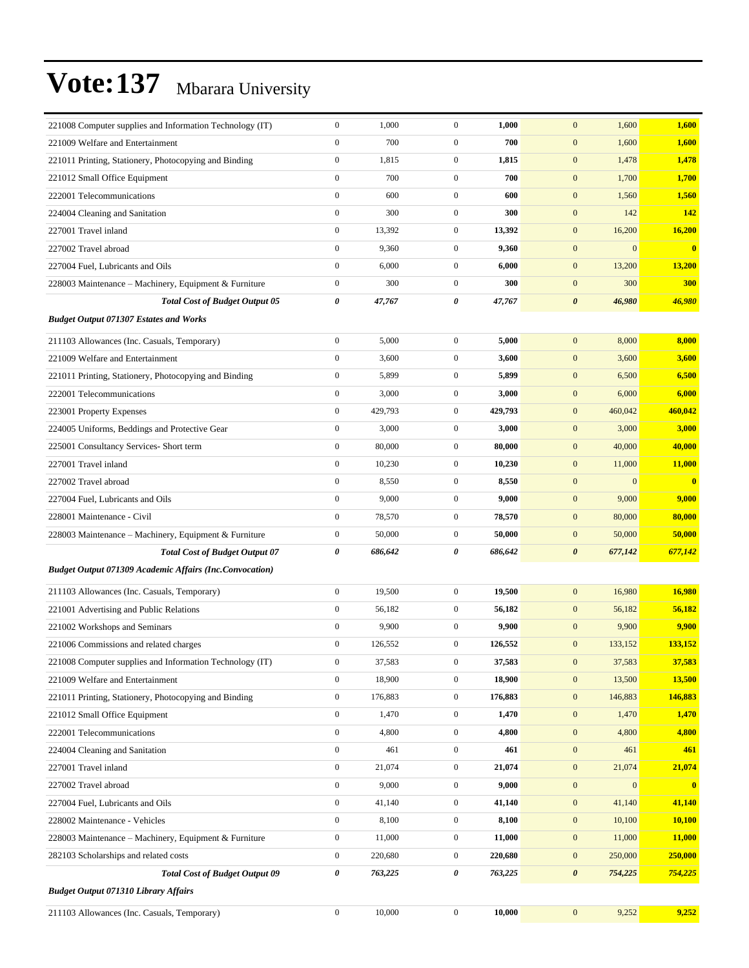| 221008 Computer supplies and Information Technology (IT)       | $\mathbf{0}$     | 1,000   | $\overline{0}$   | 1,000   | 1,600<br>$\mathbf{0}$            | 1,600                   |
|----------------------------------------------------------------|------------------|---------|------------------|---------|----------------------------------|-------------------------|
| 221009 Welfare and Entertainment                               | $\mathbf{0}$     | 700     | $\boldsymbol{0}$ | 700     | $\mathbf{0}$<br>1,600            | 1,600                   |
| 221011 Printing, Stationery, Photocopying and Binding          | $\boldsymbol{0}$ | 1,815   | 0                | 1,815   | $\mathbf{0}$<br>1,478            | 1,478                   |
| 221012 Small Office Equipment                                  | $\boldsymbol{0}$ | 700     | $\boldsymbol{0}$ | 700     | $\mathbf{0}$<br>1,700            | 1,700                   |
| 222001 Telecommunications                                      | $\mathbf{0}$     | 600     | $\boldsymbol{0}$ | 600     | $\mathbf{0}$<br>1,560            | 1,560                   |
| 224004 Cleaning and Sanitation                                 | $\mathbf{0}$     | 300     | $\boldsymbol{0}$ | 300     | $\mathbf{0}$<br>142              | 142                     |
| 227001 Travel inland                                           | $\mathbf{0}$     | 13,392  | $\boldsymbol{0}$ | 13,392  | $\mathbf{0}$<br>16,200           | 16,200                  |
| 227002 Travel abroad                                           | $\boldsymbol{0}$ | 9,360   | $\boldsymbol{0}$ | 9,360   | $\mathbf{0}$<br>$\mathbf{0}$     | $\mathbf{0}$            |
| 227004 Fuel, Lubricants and Oils                               | $\boldsymbol{0}$ | 6,000   | $\boldsymbol{0}$ | 6,000   | $\mathbf{0}$<br>13,200           | 13,200                  |
| 228003 Maintenance – Machinery, Equipment & Furniture          | $\boldsymbol{0}$ | 300     | $\boldsymbol{0}$ | 300     | $\mathbf{0}$<br>300              | <b>300</b>              |
| <b>Total Cost of Budget Output 05</b>                          | $\pmb{\theta}$   | 47,767  | 0                | 47,767  | $\boldsymbol{\theta}$<br>46,980  | 46,980                  |
| <b>Budget Output 071307 Estates and Works</b>                  |                  |         |                  |         |                                  |                         |
| 211103 Allowances (Inc. Casuals, Temporary)                    | $\boldsymbol{0}$ | 5,000   | $\boldsymbol{0}$ | 5,000   | $\mathbf{0}$<br>8,000            | 8,000                   |
| 221009 Welfare and Entertainment                               | $\mathbf{0}$     | 3,600   | $\boldsymbol{0}$ | 3,600   | $\mathbf{0}$<br>3,600            | 3,600                   |
| 221011 Printing, Stationery, Photocopying and Binding          | $\boldsymbol{0}$ | 5,899   | $\boldsymbol{0}$ | 5,899   | $\mathbf{0}$<br>6,500            | 6,500                   |
| 222001 Telecommunications                                      | $\boldsymbol{0}$ | 3,000   | $\boldsymbol{0}$ | 3,000   | $\mathbf{0}$<br>6,000            | 6,000                   |
| 223001 Property Expenses                                       | $\boldsymbol{0}$ | 429,793 | $\mathbf{0}$     | 429,793 | $\mathbf{0}$<br>460,042          | 460,042                 |
| 224005 Uniforms, Beddings and Protective Gear                  | $\boldsymbol{0}$ | 3,000   | $\boldsymbol{0}$ | 3,000   | $\mathbf{0}$<br>3,000            | 3,000                   |
| 225001 Consultancy Services- Short term                        | $\boldsymbol{0}$ | 80,000  | $\boldsymbol{0}$ | 80,000  | $\mathbf{0}$<br>40,000           | 40,000                  |
| 227001 Travel inland                                           | $\boldsymbol{0}$ | 10,230  | $\boldsymbol{0}$ | 10,230  | $\mathbf{0}$<br>11,000           | 11,000                  |
| 227002 Travel abroad                                           | $\boldsymbol{0}$ | 8,550   | $\mathbf{0}$     | 8,550   | $\mathbf{0}$<br>$\mathbf{0}$     | $\overline{\mathbf{0}}$ |
| 227004 Fuel, Lubricants and Oils                               | $\boldsymbol{0}$ | 9,000   | $\boldsymbol{0}$ | 9,000   | $\mathbf{0}$<br>9,000            | 9,000                   |
| 228001 Maintenance - Civil                                     | $\boldsymbol{0}$ | 78,570  | $\boldsymbol{0}$ | 78,570  | $\mathbf{0}$<br>80,000           | 80,000                  |
| 228003 Maintenance - Machinery, Equipment & Furniture          | $\boldsymbol{0}$ | 50,000  | $\boldsymbol{0}$ | 50,000  | $\mathbf{0}$<br>50,000           | 50,000                  |
| <b>Total Cost of Budget Output 07</b>                          | 0                | 686,642 | 0                | 686,642 | $\boldsymbol{\theta}$<br>677,142 | 677,142                 |
| <b>Budget Output 071309 Academic Affairs (Inc.Convocation)</b> |                  |         |                  |         |                                  |                         |
| 211103 Allowances (Inc. Casuals, Temporary)                    | $\boldsymbol{0}$ | 19,500  | $\boldsymbol{0}$ | 19,500  | $\mathbf{0}$<br>16,980           | 16,980                  |
| 221001 Advertising and Public Relations                        | $\boldsymbol{0}$ | 56,182  | $\boldsymbol{0}$ | 56,182  | $\mathbf{0}$<br>56,182           | 56,182                  |
| 221002 Workshops and Seminars                                  | $\mathbf{0}$     | 9,900   | $\boldsymbol{0}$ | 9,900   | $\mathbf{0}$<br>9,900            | 9,900                   |
| 221006 Commissions and related charges                         | $\boldsymbol{0}$ | 126,552 | $\boldsymbol{0}$ | 126,552 | $\mathbf{0}$<br>133,152          | 133,152                 |
| 221008 Computer supplies and Information Technology (IT)       | $\mathbf{0}$     | 37,583  | 0                | 37,583  | 37,583<br>$\boldsymbol{0}$       | 37,583                  |
| 221009 Welfare and Entertainment                               | $\boldsymbol{0}$ | 18,900  | $\boldsymbol{0}$ | 18,900  | $\mathbf{0}$<br>13,500           | <b>13,500</b>           |
| 221011 Printing, Stationery, Photocopying and Binding          | $\boldsymbol{0}$ | 176,883 | $\boldsymbol{0}$ | 176,883 | $\mathbf{0}$<br>146,883          | 146,883                 |
| 221012 Small Office Equipment                                  | $\boldsymbol{0}$ | 1,470   | $\boldsymbol{0}$ | 1,470   | $\boldsymbol{0}$<br>1,470        | 1,470                   |
| 222001 Telecommunications                                      | $\boldsymbol{0}$ | 4,800   | $\boldsymbol{0}$ | 4,800   | $\mathbf{0}$<br>4,800            | 4,800                   |
| 224004 Cleaning and Sanitation                                 | $\boldsymbol{0}$ | 461     | $\boldsymbol{0}$ | 461     | $\mathbf{0}$<br>461              | 461                     |
| 227001 Travel inland                                           | $\boldsymbol{0}$ | 21,074  | $\boldsymbol{0}$ | 21,074  | $\boldsymbol{0}$<br>21,074       | 21,074                  |
| 227002 Travel abroad                                           | $\boldsymbol{0}$ | 9,000   | $\boldsymbol{0}$ | 9,000   | $\boldsymbol{0}$<br>$\bf{0}$     | $\overline{\mathbf{0}}$ |
| 227004 Fuel, Lubricants and Oils                               | $\boldsymbol{0}$ | 41,140  | $\boldsymbol{0}$ | 41,140  | $\boldsymbol{0}$<br>41,140       | 41,140                  |
| 228002 Maintenance - Vehicles                                  | $\boldsymbol{0}$ | 8,100   | $\boldsymbol{0}$ | 8,100   | $\mathbf{0}$<br>10,100           | 10,100                  |
| 228003 Maintenance - Machinery, Equipment & Furniture          | $\boldsymbol{0}$ | 11,000  | $\boldsymbol{0}$ | 11,000  | $\mathbf{0}$<br>11,000           | 11,000                  |
| 282103 Scholarships and related costs                          | $\boldsymbol{0}$ | 220,680 | $\boldsymbol{0}$ | 220,680 | 250,000<br>$\bf{0}$              | 250,000                 |
| <b>Total Cost of Budget Output 09</b>                          | 0                | 763,225 | 0                | 763,225 | $\boldsymbol{\theta}$<br>754,225 | 754,225                 |
| <b>Budget Output 071310 Library Affairs</b>                    |                  |         |                  |         |                                  |                         |
| 211103 Allowances (Inc. Casuals, Temporary)                    | $\boldsymbol{0}$ | 10,000  | $\boldsymbol{0}$ | 10,000  | $\boldsymbol{0}$<br>9,252        | 9,252                   |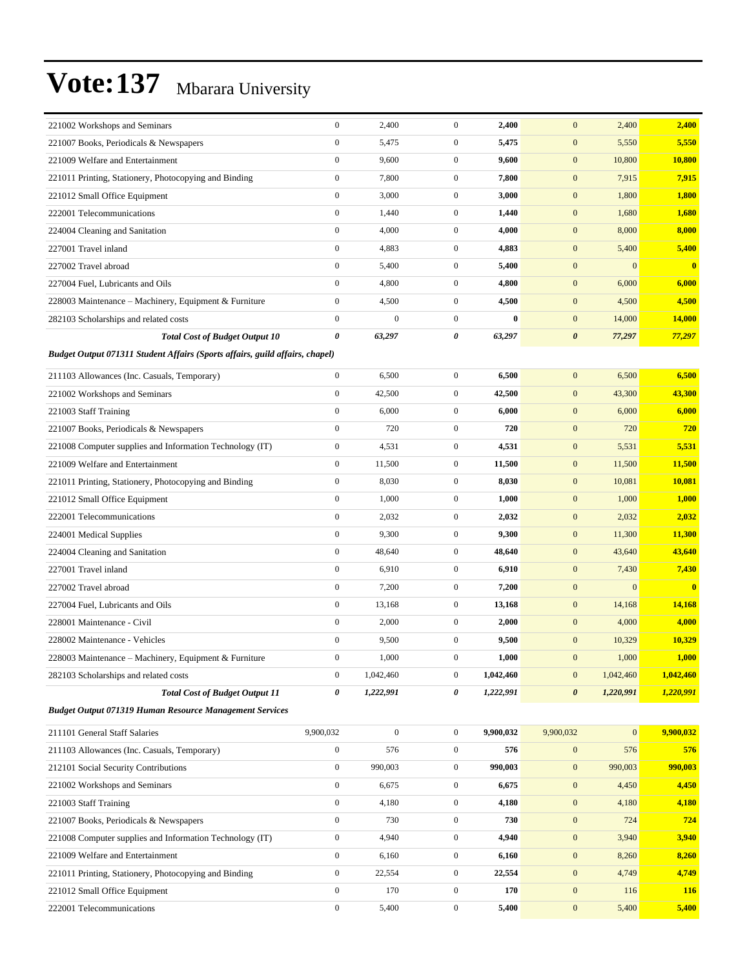| 221002 Workshops and Seminars                                                | $\boldsymbol{0}$ | 2,400            | $\boldsymbol{0}$ | 2,400     | $\mathbf{0}$<br>2,400              | 2,400                                   |
|------------------------------------------------------------------------------|------------------|------------------|------------------|-----------|------------------------------------|-----------------------------------------|
| 221007 Books, Periodicals & Newspapers                                       | $\boldsymbol{0}$ | 5,475            | $\boldsymbol{0}$ | 5,475     | $\mathbf{0}$<br>5,550              | 5,550                                   |
| 221009 Welfare and Entertainment                                             | $\boldsymbol{0}$ | 9,600            | $\boldsymbol{0}$ | 9,600     | $\mathbf{0}$<br>10,800             | 10,800                                  |
| 221011 Printing, Stationery, Photocopying and Binding                        | $\mathbf{0}$     | 7,800            | $\boldsymbol{0}$ | 7,800     | $\mathbf{0}$<br>7,915              | 7,915                                   |
| 221012 Small Office Equipment                                                | $\boldsymbol{0}$ | 3,000            | $\boldsymbol{0}$ | 3,000     | $\mathbf{0}$<br>1,800              | 1,800                                   |
| 222001 Telecommunications                                                    | $\boldsymbol{0}$ | 1,440            | $\boldsymbol{0}$ | 1,440     | $\mathbf{0}$<br>1,680              | 1,680                                   |
| 224004 Cleaning and Sanitation                                               | $\boldsymbol{0}$ | 4,000            | $\boldsymbol{0}$ | 4,000     | $\mathbf{0}$<br>8,000              | 8,000                                   |
| 227001 Travel inland                                                         | $\boldsymbol{0}$ | 4,883            | $\mathbf{0}$     | 4,883     | $\mathbf{0}$<br>5,400              | 5,400                                   |
| 227002 Travel abroad                                                         | $\mathbf{0}$     | 5,400            | $\boldsymbol{0}$ | 5,400     | $\mathbf{0}$                       | $\mathbf{0}$<br>$\bf{0}$                |
| 227004 Fuel. Lubricants and Oils                                             | $\mathbf{0}$     | 4,800            | $\boldsymbol{0}$ | 4,800     | $\mathbf{0}$<br>6,000              | 6,000                                   |
| 228003 Maintenance - Machinery, Equipment & Furniture                        | $\boldsymbol{0}$ | 4,500            | $\boldsymbol{0}$ | 4,500     | $\mathbf{0}$<br>4,500              | 4,500                                   |
| 282103 Scholarships and related costs                                        | $\boldsymbol{0}$ | $\boldsymbol{0}$ | $\mathbf{0}$     | $\bf{0}$  | $\mathbf{0}$<br>14,000             | 14,000                                  |
| <b>Total Cost of Budget Output 10</b>                                        | $\pmb{\theta}$   | 63,297           | 0                | 63,297    | $\boldsymbol{\theta}$<br>77,297    | 77,297                                  |
| Budget Output 071311 Student Affairs (Sports affairs, guild affairs, chapel) |                  |                  |                  |           |                                    |                                         |
|                                                                              |                  |                  |                  |           |                                    |                                         |
| 211103 Allowances (Inc. Casuals, Temporary)                                  | $\boldsymbol{0}$ | 6,500            | $\boldsymbol{0}$ | 6,500     | $\mathbf{0}$<br>6,500              | 6,500                                   |
| 221002 Workshops and Seminars                                                | $\boldsymbol{0}$ | 42,500           | $\mathbf{0}$     | 42,500    | $\mathbf{0}$<br>43,300             | 43,300                                  |
| 221003 Staff Training                                                        | $\boldsymbol{0}$ | 6,000            | $\boldsymbol{0}$ | 6,000     | $\boldsymbol{0}$<br>6,000          | 6,000                                   |
| 221007 Books, Periodicals & Newspapers                                       | $\mathbf{0}$     | 720              | $\boldsymbol{0}$ | 720       | $\mathbf{0}$<br>720                | 720                                     |
| 221008 Computer supplies and Information Technology (IT)                     | $\boldsymbol{0}$ | 4,531            | $\boldsymbol{0}$ | 4,531     | $\mathbf{0}$<br>5,531              | 5,531                                   |
| 221009 Welfare and Entertainment                                             | $\boldsymbol{0}$ | 11,500           | $\boldsymbol{0}$ | 11,500    | $\mathbf{0}$<br>11,500             | 11,500                                  |
| 221011 Printing, Stationery, Photocopying and Binding                        | $\boldsymbol{0}$ | 8,030            | $\mathbf{0}$     | 8,030     | $\mathbf{0}$<br>10,081             | 10,081                                  |
| 221012 Small Office Equipment                                                | $\boldsymbol{0}$ | 1,000            | $\boldsymbol{0}$ | 1,000     | $\boldsymbol{0}$<br>1,000          | 1,000                                   |
| 222001 Telecommunications                                                    | $\mathbf{0}$     | 2,032            | $\mathbf{0}$     | 2,032     | $\mathbf{0}$<br>2,032              | 2,032                                   |
| 224001 Medical Supplies                                                      | $\boldsymbol{0}$ | 9,300            | $\boldsymbol{0}$ | 9,300     | $\mathbf{0}$<br>11,300             | 11,300                                  |
| 224004 Cleaning and Sanitation                                               | $\boldsymbol{0}$ | 48,640           | $\boldsymbol{0}$ | 48,640    | $\mathbf{0}$<br>43,640             | 43,640                                  |
| 227001 Travel inland                                                         | $\boldsymbol{0}$ | 6,910            | $\mathbf{0}$     | 6,910     | $\mathbf{0}$<br>7,430              | 7,430                                   |
| 227002 Travel abroad                                                         | $\boldsymbol{0}$ | 7,200            | $\boldsymbol{0}$ | 7,200     | $\boldsymbol{0}$                   | $\mathbf{0}$<br>$\overline{\mathbf{0}}$ |
| 227004 Fuel, Lubricants and Oils                                             | $\mathbf{0}$     | 13,168           | $\mathbf{0}$     | 13,168    | $\mathbf{0}$<br>14,168             | 14,168                                  |
| 228001 Maintenance - Civil                                                   | $\boldsymbol{0}$ | 2,000            | $\boldsymbol{0}$ | 2,000     | $\mathbf{0}$<br>4,000              | 4,000                                   |
| 228002 Maintenance - Vehicles                                                | $\mathbf{0}$     | 9,500            | $\boldsymbol{0}$ | 9,500     | $\mathbf{0}$<br>10,329             | 10,329                                  |
| 228003 Maintenance - Machinery, Equipment & Furniture                        | $\mathbf{0}$     | 1,000            | $\overline{0}$   | 1,000     | $\mathbf{0}$<br>1,000              | 1,000                                   |
| 282103 Scholarships and related costs                                        | $\boldsymbol{0}$ | 1,042,460        | $\boldsymbol{0}$ | 1,042,460 | 1,042,460<br>$\mathbf{0}$          | 1,042,460                               |
| <b>Total Cost of Budget Output 11</b>                                        | 0                | 1,222,991        | 0                | 1,222,991 | 1,220,991<br>$\boldsymbol{\theta}$ | 1,220,991                               |
| <b>Budget Output 071319 Human Resource Management Services</b>               |                  |                  |                  |           |                                    |                                         |
| 211101 General Staff Salaries                                                | 9,900,032        | $\boldsymbol{0}$ | $\mathbf{0}$     | 9,900,032 | 9,900,032                          | 9,900,032<br>$\mathbf{0}$               |
| 211103 Allowances (Inc. Casuals, Temporary)                                  | $\boldsymbol{0}$ | 576              | $\boldsymbol{0}$ | 576       | $\boldsymbol{0}$<br>576            | 576                                     |
| 212101 Social Security Contributions                                         | $\boldsymbol{0}$ | 990,003          | $\boldsymbol{0}$ | 990,003   | $\boldsymbol{0}$<br>990,003        | 990,003                                 |
| 221002 Workshops and Seminars                                                | $\boldsymbol{0}$ | 6,675            | $\boldsymbol{0}$ | 6,675     | $\boldsymbol{0}$<br>4,450          | 4,450                                   |
| 221003 Staff Training                                                        | $\boldsymbol{0}$ | 4,180            | $\boldsymbol{0}$ | 4,180     | $\boldsymbol{0}$<br>4,180          | 4,180                                   |
| 221007 Books, Periodicals & Newspapers                                       | $\boldsymbol{0}$ | 730              | $\boldsymbol{0}$ | 730       | $\mathbf{0}$<br>724                | 724                                     |
| 221008 Computer supplies and Information Technology (IT)                     | $\boldsymbol{0}$ | 4,940            | $\boldsymbol{0}$ | 4,940     | $\boldsymbol{0}$<br>3,940          | 3,940                                   |
| 221009 Welfare and Entertainment                                             | $\boldsymbol{0}$ | 6,160            | $\boldsymbol{0}$ | 6,160     | $\boldsymbol{0}$<br>8,260          | 8,260                                   |
| 221011 Printing, Stationery, Photocopying and Binding                        | $\boldsymbol{0}$ | 22,554           | $\boldsymbol{0}$ | 22,554    | $\boldsymbol{0}$<br>4,749          | 4,749                                   |
| 221012 Small Office Equipment                                                | $\boldsymbol{0}$ | 170              | $\boldsymbol{0}$ | 170       | $\boldsymbol{0}$<br>116            | <b>116</b>                              |
| 222001 Telecommunications                                                    | $\boldsymbol{0}$ | 5,400            | $\boldsymbol{0}$ | 5,400     | $\boldsymbol{0}$<br>5,400          | 5,400                                   |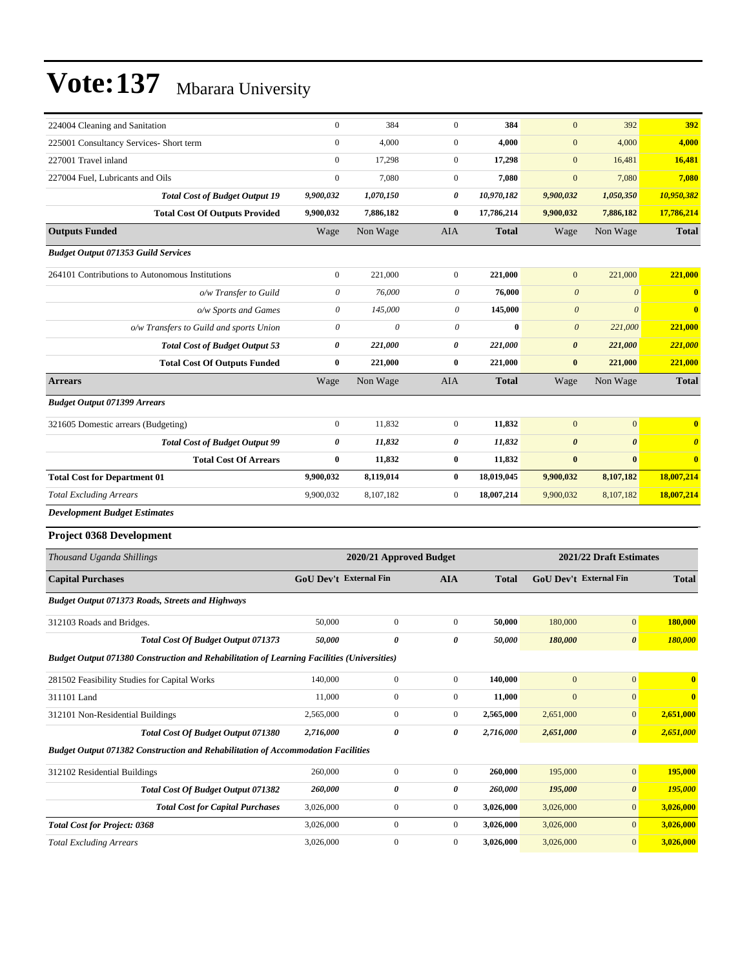| 224004 Cleaning and Sanitation                                                             | $\boldsymbol{0}$       | 384                     | $\mathbf{0}$     | 384          | $\overline{0}$         | 392                     | 392                   |
|--------------------------------------------------------------------------------------------|------------------------|-------------------------|------------------|--------------|------------------------|-------------------------|-----------------------|
| 225001 Consultancy Services- Short term                                                    | $\boldsymbol{0}$       | 4,000                   | $\mathbf{0}$     | 4,000        | $\mathbf{0}$           | 4,000                   | 4,000                 |
| 227001 Travel inland                                                                       | $\boldsymbol{0}$       | 17,298                  | $\mathbf{0}$     | 17,298       | $\mathbf{0}$           | 16,481                  | 16,481                |
| 227004 Fuel. Lubricants and Oils                                                           | $\boldsymbol{0}$       | 7,080                   | $\mathbf{0}$     | 7,080        | $\mathbf{0}$           | 7,080                   | 7,080                 |
| <b>Total Cost of Budget Output 19</b>                                                      | 9,900,032              | 1,070,150               | 0                | 10,970,182   | 9,900,032              | 1,050,350               | 10,950,382            |
| <b>Total Cost Of Outputs Provided</b>                                                      | 9,900,032              | 7,886,182               | $\bf{0}$         | 17,786,214   | 9,900,032              | 7,886,182               | 17,786,214            |
| <b>Outputs Funded</b>                                                                      | Wage                   | Non Wage                | AIA              | <b>Total</b> | Wage                   | Non Wage                | <b>Total</b>          |
| <b>Budget Output 071353 Guild Services</b>                                                 |                        |                         |                  |              |                        |                         |                       |
| 264101 Contributions to Autonomous Institutions                                            | $\boldsymbol{0}$       | 221,000                 | $\mathbf{0}$     | 221,000      | $\mathbf{0}$           | 221,000                 | 221,000               |
| o/w Transfer to Guild                                                                      | $\boldsymbol{\theta}$  | 76,000                  | 0                | 76,000       | $\boldsymbol{\theta}$  | $\boldsymbol{\theta}$   | $\bf{0}$              |
| o/w Sports and Games                                                                       | $\boldsymbol{\theta}$  | 145,000                 | $\theta$         | 145,000      | $\boldsymbol{\theta}$  | $\theta$                | $\bf{0}$              |
| o/w Transfers to Guild and sports Union                                                    | $\boldsymbol{\theta}$  | 0                       | 0                | $\bf{0}$     | $\boldsymbol{\theta}$  | 221,000                 | 221,000               |
| <b>Total Cost of Budget Output 53</b>                                                      | 0                      | 221,000                 | $\pmb{\theta}$   | 221,000      | $\pmb{\theta}$         | 221,000                 | 221,000               |
| <b>Total Cost Of Outputs Funded</b>                                                        | $\bf{0}$               | 221,000                 | $\bf{0}$         | 221,000      | $\pmb{0}$              | 221,000                 | 221,000               |
| <b>Arrears</b>                                                                             | Wage                   | Non Wage                | AIA              | <b>Total</b> | Wage                   | Non Wage                | <b>Total</b>          |
| <b>Budget Output 071399 Arrears</b>                                                        |                        |                         |                  |              |                        |                         |                       |
| 321605 Domestic arrears (Budgeting)                                                        | $\boldsymbol{0}$       | 11,832                  | $\mathbf{0}$     | 11,832       | $\mathbf{0}$           | $\boldsymbol{0}$        | $\bf{0}$              |
| <b>Total Cost of Budget Output 99</b>                                                      | $\pmb{\theta}$         | 11,832                  | 0                | 11,832       | $\boldsymbol{\theta}$  | $\boldsymbol{\theta}$   | $\boldsymbol{\theta}$ |
| <b>Total Cost Of Arrears</b>                                                               | $\bf{0}$               | 11,832                  | $\bf{0}$         | 11,832       | $\bf{0}$               | $\bf{0}$                | $\bf{0}$              |
| <b>Total Cost for Department 01</b>                                                        | 9,900,032              | 8,119,014               | $\bf{0}$         | 18,019,045   | 9,900,032              | 8,107,182               | 18,007,214            |
| <b>Total Excluding Arrears</b>                                                             | 9,900,032              | 8,107,182               | $\mathbf{0}$     | 18,007,214   | 9,900,032              | 8,107,182               | 18,007,214            |
| <b>Development Budget Estimates</b>                                                        |                        |                         |                  |              |                        |                         |                       |
| Project 0368 Development                                                                   |                        |                         |                  |              |                        |                         |                       |
| Thousand Uganda Shillings                                                                  |                        | 2020/21 Approved Budget |                  |              |                        | 2021/22 Draft Estimates |                       |
| <b>Capital Purchases</b>                                                                   | GoU Dev't External Fin |                         | <b>AIA</b>       | <b>Total</b> | GoU Dev't External Fin |                         | <b>Total</b>          |
| <b>Budget Output 071373 Roads, Streets and Highways</b>                                    |                        |                         |                  |              |                        |                         |                       |
| 312103 Roads and Bridges.                                                                  | 50,000                 | $\boldsymbol{0}$        | $\boldsymbol{0}$ | 50,000       | 180,000                | $\boldsymbol{0}$        | 180,000               |
| <b>Total Cost Of Budget Output 071373</b>                                                  | 50,000                 | 0                       | 0                | 50,000       | 180,000                | 0                       | 180,000               |
| Budget Output 071380 Construction and Rehabilitation of Learning Facilities (Universities) |                        |                         |                  |              |                        |                         |                       |
| 281502 Feasibility Studies for Capital Works                                               | 140,000                | $\boldsymbol{0}$        | $\boldsymbol{0}$ | 140,000      | $\boldsymbol{0}$       | $\boldsymbol{0}$        | $\bf{0}$              |
| 311101 Land                                                                                | 11,000                 | $\boldsymbol{0}$        | $\boldsymbol{0}$ | 11,000       | $\boldsymbol{0}$       | $\boldsymbol{0}$        | $\bf{0}$              |
| 312101 Non-Residential Buildings                                                           | 2,565,000              | $\boldsymbol{0}$        | $\boldsymbol{0}$ | 2,565,000    | 2,651,000              | $\boldsymbol{0}$        | 2,651,000             |
| <b>Total Cost Of Budget Output 071380</b>                                                  | 2,716,000              | 0                       | 0                | 2,716,000    | 2,651,000              | 0                       | 2,651,000             |
| <b>Budget Output 071382 Construction and Rehabilitation of Accommodation Facilities</b>    |                        |                         |                  |              |                        |                         |                       |
| 312102 Residential Buildings                                                               | 260,000                | $\boldsymbol{0}$        | $\boldsymbol{0}$ | 260,000      | 195,000                | $\boldsymbol{0}$        | 195,000               |
| <b>Total Cost Of Budget Output 071382</b>                                                  | 260,000                | 0                       | 0                | 260,000      | 195,000                | 0                       | 195,000               |
| <b>Total Cost for Capital Purchases</b>                                                    | 3,026,000              | $\boldsymbol{0}$        | $\boldsymbol{0}$ | 3,026,000    | 3,026,000              | $\boldsymbol{0}$        | 3,026,000             |
| <b>Total Cost for Project: 0368</b>                                                        | 3,026,000              | $\boldsymbol{0}$        | $\boldsymbol{0}$ | 3,026,000    | 3,026,000              | $\boldsymbol{0}$        | 3,026,000             |
|                                                                                            |                        |                         |                  |              |                        |                         |                       |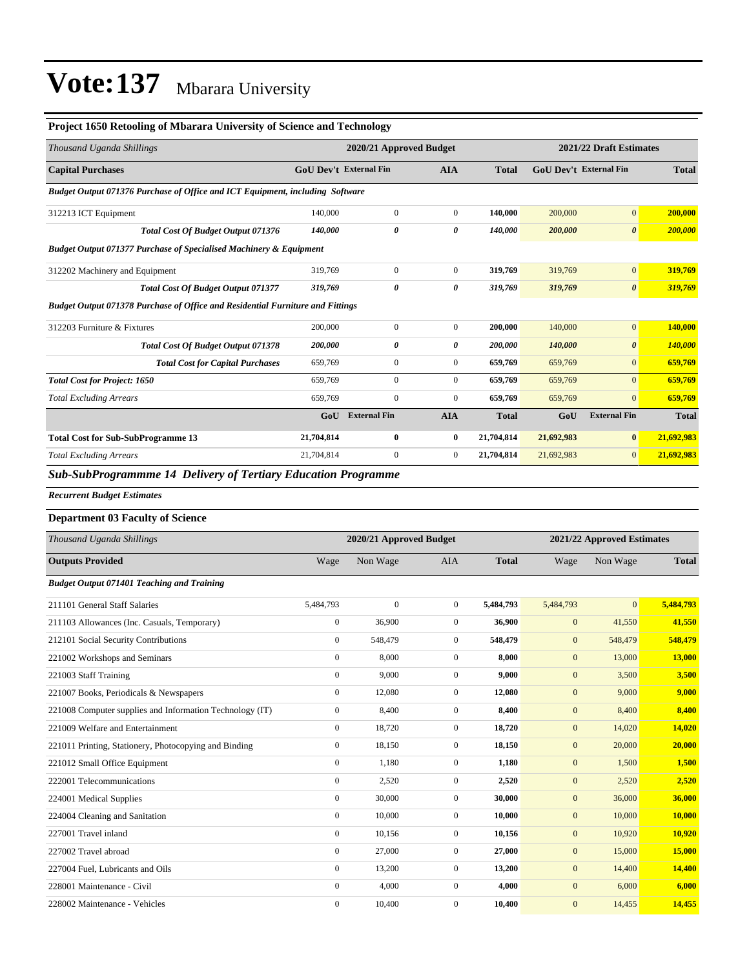#### **Project 1650 Retooling of Mbarara University of Science and Technology**

| Thousand Uganda Shillings                                                             | 2020/21 Approved Budget       |                         |                  |              |                  | 2021/22 Draft Estimates    |                |  |
|---------------------------------------------------------------------------------------|-------------------------------|-------------------------|------------------|--------------|------------------|----------------------------|----------------|--|
| <b>Capital Purchases</b>                                                              | <b>GoU Dev't External Fin</b> |                         | <b>AIA</b>       | <b>Total</b> |                  | GoU Dev't External Fin     | <b>Total</b>   |  |
| Budget Output 071376 Purchase of Office and ICT Equipment, including Software         |                               |                         |                  |              |                  |                            |                |  |
| 312213 ICT Equipment                                                                  | 140,000                       | $\boldsymbol{0}$        | $\mathbf{0}$     | 140,000      | 200,000          | $\mathbf{0}$               | 200,000        |  |
| Total Cost Of Budget Output 071376                                                    | 140,000                       | 0                       | 0                | 140,000      | 200,000          | $\boldsymbol{\theta}$      | 200,000        |  |
| <b>Budget Output 071377 Purchase of Specialised Machinery &amp; Equipment</b>         |                               |                         |                  |              |                  |                            |                |  |
| 312202 Machinery and Equipment                                                        | 319,769                       | $\boldsymbol{0}$        | $\boldsymbol{0}$ | 319,769      | 319,769          | $\mathbf{0}$               | 319,769        |  |
| Total Cost Of Budget Output 071377                                                    | 319,769                       | 0                       | 0                | 319,769      | 319,769          | $\boldsymbol{\theta}$      | 319,769        |  |
| <b>Budget Output 071378 Purchase of Office and Residential Furniture and Fittings</b> |                               |                         |                  |              |                  |                            |                |  |
| 312203 Furniture & Fixtures                                                           | 200,000                       | $\mathbf{0}$            | $\boldsymbol{0}$ | 200,000      | 140,000          | $\mathbf{0}$               | 140,000        |  |
| <b>Total Cost Of Budget Output 071378</b>                                             | 200,000                       | 0                       | 0                | 200,000      | 140,000          | $\boldsymbol{\theta}$      | <b>140,000</b> |  |
| <b>Total Cost for Capital Purchases</b>                                               | 659,769                       | $\mathbf{0}$            | $\boldsymbol{0}$ | 659,769      | 659,769          | $\mathbf{0}$               | 659,769        |  |
| <b>Total Cost for Project: 1650</b>                                                   | 659,769                       | $\boldsymbol{0}$        | $\overline{0}$   | 659,769      | 659,769          | $\mathbf{0}$               | 659,769        |  |
| <b>Total Excluding Arrears</b>                                                        | 659,769                       | $\mathbf{0}$            | $\boldsymbol{0}$ | 659,769      | 659,769          | $\mathbf{0}$               | 659,769        |  |
|                                                                                       | GoU                           | <b>External Fin</b>     | <b>AIA</b>       | <b>Total</b> | GoU              | <b>External Fin</b>        | <b>Total</b>   |  |
| <b>Total Cost for Sub-SubProgramme 13</b>                                             | 21,704,814                    | 0                       | $\bf{0}$         | 21,704,814   | 21,692,983       | $\bf{0}$                   | 21,692,983     |  |
| <b>Total Excluding Arrears</b>                                                        | 21,704,814                    | $\boldsymbol{0}$        | $\boldsymbol{0}$ | 21,704,814   | 21,692,983       | $\mathbf{0}$               | 21,692,983     |  |
| <b>Sub-SubProgrammme 14 Delivery of Tertiary Education Programme</b>                  |                               |                         |                  |              |                  |                            |                |  |
| <b>Recurrent Budget Estimates</b>                                                     |                               |                         |                  |              |                  |                            |                |  |
| <b>Department 03 Faculty of Science</b>                                               |                               |                         |                  |              |                  |                            |                |  |
| Thousand Uganda Shillings                                                             |                               | 2020/21 Approved Budget |                  |              |                  | 2021/22 Approved Estimates |                |  |
| <b>Outputs Provided</b>                                                               | Wage                          | Non Wage                | AIA              | <b>Total</b> | Wage             | Non Wage                   | <b>Total</b>   |  |
| <b>Budget Output 071401 Teaching and Training</b>                                     |                               |                         |                  |              |                  |                            |                |  |
| 211101 General Staff Salaries                                                         | 5,484,793                     | $\boldsymbol{0}$        | $\boldsymbol{0}$ | 5,484,793    | 5,484,793        | $\mathbf{0}$               | 5,484,793      |  |
| 211103 Allowances (Inc. Casuals, Temporary)                                           | $\boldsymbol{0}$              | 36,900                  | $\boldsymbol{0}$ | 36,900       | $\mathbf{0}$     | 41,550                     | 41,550         |  |
| 212101 Social Security Contributions                                                  | $\boldsymbol{0}$              | 548,479                 | $\mathbf{0}$     | 548,479      | $\mathbf{0}$     | 548,479                    | 548,479        |  |
| 221002 Workshops and Seminars                                                         | $\boldsymbol{0}$              | 8,000                   | $\boldsymbol{0}$ | 8,000        | $\mathbf{0}$     | 13,000                     | 13,000         |  |
| 221003 Staff Training                                                                 | $\boldsymbol{0}$              | 9,000                   | $\boldsymbol{0}$ | 9,000        | $\boldsymbol{0}$ | 3,500                      | 3,500          |  |
| 221007 Books, Periodicals & Newspapers                                                | $\boldsymbol{0}$              | 12,080                  | $\boldsymbol{0}$ | 12,080       | $\boldsymbol{0}$ | 9,000                      | 9,000          |  |
| 221008 Computer supplies and Information Technology (IT)                              | $\boldsymbol{0}$              | 8,400                   | $\boldsymbol{0}$ | 8,400        | $\boldsymbol{0}$ | 8,400                      | 8,400          |  |
| 221009 Welfare and Entertainment                                                      | $\boldsymbol{0}$              | 18,720                  | $\boldsymbol{0}$ | 18,720       | $\boldsymbol{0}$ | 14,020                     | 14,020         |  |
| 221011 Printing, Stationery, Photocopying and Binding                                 | $\boldsymbol{0}$              | 18,150                  | $\boldsymbol{0}$ | 18,150       | $\boldsymbol{0}$ | 20,000                     |                |  |
| 221012 Small Office Equipment                                                         | $\boldsymbol{0}$              | 1,180                   | $\boldsymbol{0}$ | 1,180        | $\boldsymbol{0}$ |                            | 20,000         |  |
| 222001 Telecommunications                                                             |                               |                         |                  |              |                  | 1,500                      | 1,500          |  |
|                                                                                       | $\boldsymbol{0}$              | 2,520                   | $\boldsymbol{0}$ | 2,520        | $\boldsymbol{0}$ | 2,520                      | 2,520          |  |
| 224001 Medical Supplies                                                               | $\boldsymbol{0}$              | 30,000                  | $\boldsymbol{0}$ | 30,000       | $\mathbf{0}$     | 36,000                     | 36,000         |  |
| 224004 Cleaning and Sanitation                                                        | $\boldsymbol{0}$              | 10,000                  | $\boldsymbol{0}$ | 10,000       | $\boldsymbol{0}$ | 10,000                     | 10,000         |  |
| 227001 Travel inland                                                                  | $\boldsymbol{0}$              | 10,156                  | $\boldsymbol{0}$ | 10,156       | $\mathbf{0}$     | 10,920                     | 10,920         |  |

227004 Fuel, Lubricants and Oils 0 13,200 0 **13,200** 0 14,400 **14,400** 228001 Maintenance - Civil 0 4,000 0 **4,000** 0 6,000 **6,000** 228002 Maintenance - Vehicles 0 10,400 0 **10,400** 0 14,455 **14,455**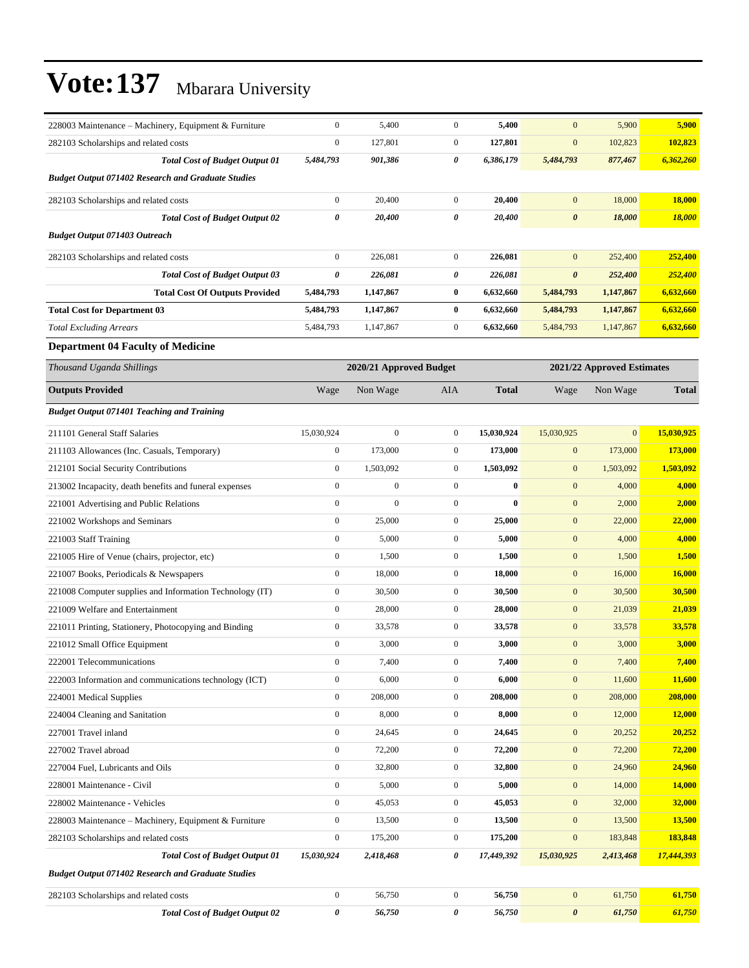| 228003 Maintenance – Machinery, Equipment & Furniture     | $\boldsymbol{0}$ | 5,400                   | $\boldsymbol{0}$ | 5,400        | $\mathbf{0}$          | 5,900                      | 5,900         |
|-----------------------------------------------------------|------------------|-------------------------|------------------|--------------|-----------------------|----------------------------|---------------|
| 282103 Scholarships and related costs                     | $\boldsymbol{0}$ | 127,801                 | $\mathbf{0}$     | 127,801      | $\boldsymbol{0}$      | 102,823                    | 102,823       |
| <b>Total Cost of Budget Output 01</b>                     | 5,484,793        | 901,386                 | 0                | 6,386,179    | 5,484,793             | 877,467                    | 6,362,260     |
| <b>Budget Output 071402 Research and Graduate Studies</b> |                  |                         |                  |              |                       |                            |               |
| 282103 Scholarships and related costs                     | $\boldsymbol{0}$ | 20,400                  | $\mathbf{0}$     | 20,400       | $\mathbf{0}$          | 18,000                     | 18,000        |
| <b>Total Cost of Budget Output 02</b>                     | 0                | 20,400                  | 0                | 20,400       | $\boldsymbol{\theta}$ | 18,000                     | <b>18,000</b> |
| <b>Budget Output 071403 Outreach</b>                      |                  |                         |                  |              |                       |                            |               |
| 282103 Scholarships and related costs                     | $\boldsymbol{0}$ | 226,081                 | $\mathbf{0}$     | 226,081      | $\mathbf{0}$          | 252,400                    | 252,400       |
| <b>Total Cost of Budget Output 03</b>                     | 0                | 226,081                 | 0                | 226,081      | $\pmb{\theta}$        | 252,400                    | 252,400       |
| <b>Total Cost Of Outputs Provided</b>                     | 5,484,793        | 1,147,867               | $\bf{0}$         | 6,632,660    | 5,484,793             | 1,147,867                  | 6,632,660     |
| <b>Total Cost for Department 03</b>                       | 5,484,793        | 1,147,867               | $\bf{0}$         | 6,632,660    | 5,484,793             | 1,147,867                  | 6,632,660     |
| <b>Total Excluding Arrears</b>                            | 5,484,793        | 1,147,867               | $\mathbf{0}$     | 6,632,660    | 5,484,793             | 1,147,867                  | 6,632,660     |
| <b>Department 04 Faculty of Medicine</b>                  |                  |                         |                  |              |                       |                            |               |
| Thousand Uganda Shillings                                 |                  | 2020/21 Approved Budget |                  |              |                       | 2021/22 Approved Estimates |               |
| <b>Outputs Provided</b>                                   | Wage             | Non Wage                | AIA              | <b>Total</b> | Wage                  | Non Wage                   | <b>Total</b>  |
| <b>Budget Output 071401 Teaching and Training</b>         |                  |                         |                  |              |                       |                            |               |
| 211101 General Staff Salaries                             | 15,030,924       | $\boldsymbol{0}$        | $\mathbf{0}$     | 15,030,924   | 15,030,925            | $\boldsymbol{0}$           | 15,030,925    |
| 211103 Allowances (Inc. Casuals, Temporary)               | $\boldsymbol{0}$ | 173,000                 | $\mathbf{0}$     | 173,000      | $\boldsymbol{0}$      | 173,000                    | 173,000       |
| 212101 Social Security Contributions                      | $\boldsymbol{0}$ | 1,503,092               | $\mathbf{0}$     | 1,503,092    | $\boldsymbol{0}$      | 1,503,092                  | 1,503,092     |
| 213002 Incapacity, death benefits and funeral expenses    | $\boldsymbol{0}$ | $\boldsymbol{0}$        | $\mathbf{0}$     | $\bf{0}$     | $\mathbf{0}$          | 4,000                      | 4,000         |
| 221001 Advertising and Public Relations                   | $\boldsymbol{0}$ | $\mathbf{0}$            | $\mathbf{0}$     | $\bf{0}$     | $\mathbf{0}$          | 2,000                      | 2,000         |
| 221002 Workshops and Seminars                             | $\boldsymbol{0}$ | 25,000                  | $\mathbf{0}$     | 25,000       | $\mathbf{0}$          | 22,000                     | 22,000        |
| 221003 Staff Training                                     | $\boldsymbol{0}$ | 5,000                   | $\mathbf{0}$     | 5,000        | $\boldsymbol{0}$      | 4,000                      | 4,000         |
| 221005 Hire of Venue (chairs, projector, etc)             | $\boldsymbol{0}$ | 1,500                   | $\mathbf{0}$     | 1,500        | $\mathbf{0}$          | 1,500                      | 1,500         |
| 221007 Books, Periodicals & Newspapers                    | $\boldsymbol{0}$ | 18,000                  | $\mathbf{0}$     | 18,000       | $\mathbf{0}$          | 16,000                     | 16,000        |
| 221008 Computer supplies and Information Technology (IT)  | $\boldsymbol{0}$ | 30,500                  | $\mathbf{0}$     | 30,500       | $\mathbf{0}$          | 30,500                     | 30,500        |
| 221009 Welfare and Entertainment                          | $\boldsymbol{0}$ | 28,000                  | $\mathbf{0}$     | 28,000       | $\mathbf{0}$          | 21,039                     | 21,039        |
| 221011 Printing, Stationery, Photocopying and Binding     | $\boldsymbol{0}$ | 33,578                  | $\mathbf{0}$     | 33,578       | $\mathbf{0}$          | 33,578                     | 33,578        |
| 221012 Small Office Equipment                             | $\boldsymbol{0}$ | 3,000                   | $\mathbf{0}$     | 3,000        | $\mathbf{0}$          | 3,000                      | 3,000         |
| 222001 Telecommunications                                 | $\boldsymbol{0}$ | 7,400                   | $\boldsymbol{0}$ | 7,400        | $\mathbf{0}$          | 7,400                      | 7,400         |
| 222003 Information and communications technology (ICT)    | $\boldsymbol{0}$ | 6,000                   | $\mathbf{0}$     | 6,000        | $\mathbf{0}$          | 11,600                     | 11,600        |
| 224001 Medical Supplies                                   | $\boldsymbol{0}$ | 208,000                 | $\boldsymbol{0}$ | 208,000      | $\boldsymbol{0}$      | 208,000                    | 208,000       |
| 224004 Cleaning and Sanitation                            | $\boldsymbol{0}$ | 8,000                   | $\boldsymbol{0}$ | 8,000        | $\boldsymbol{0}$      | 12,000                     | <b>12,000</b> |
| 227001 Travel inland                                      | $\boldsymbol{0}$ | 24,645                  | $\boldsymbol{0}$ | 24,645       | $\mathbf{0}$          | 20,252                     | 20,252        |
| 227002 Travel abroad                                      | $\boldsymbol{0}$ | 72,200                  | $\boldsymbol{0}$ | 72,200       | $\boldsymbol{0}$      | 72,200                     | 72,200        |
| 227004 Fuel, Lubricants and Oils                          | $\boldsymbol{0}$ | 32,800                  | $\boldsymbol{0}$ | 32,800       | $\boldsymbol{0}$      | 24,960                     | 24,960        |
| 228001 Maintenance - Civil                                | $\boldsymbol{0}$ | 5,000                   | $\boldsymbol{0}$ | 5,000        | $\boldsymbol{0}$      | 14,000                     | <b>14,000</b> |
| 228002 Maintenance - Vehicles                             | $\boldsymbol{0}$ | 45,053                  | $\boldsymbol{0}$ | 45,053       | $\boldsymbol{0}$      | 32,000                     | 32,000        |
| 228003 Maintenance - Machinery, Equipment & Furniture     | $\boldsymbol{0}$ | 13,500                  | $\boldsymbol{0}$ | 13,500       | $\mathbf{0}$          | 13,500                     | 13,500        |
| 282103 Scholarships and related costs                     | $\boldsymbol{0}$ | 175,200                 | $\boldsymbol{0}$ | 175,200      | $\boldsymbol{0}$      | 183,848                    | 183,848       |
| <b>Total Cost of Budget Output 01</b>                     | 15,030,924       | 2,418,468               | 0                | 17,449,392   | 15,030,925            | 2,413,468                  | 17,444,393    |
| <b>Budget Output 071402 Research and Graduate Studies</b> |                  |                         |                  |              |                       |                            |               |
| 282103 Scholarships and related costs                     | $\boldsymbol{0}$ | 56,750                  | $\boldsymbol{0}$ | 56,750       | $\boldsymbol{0}$      | 61,750                     | 61,750        |
| <b>Total Cost of Budget Output 02</b>                     | 0                | 56,750                  | 0                | 56,750       | $\pmb{\theta}$        | 61,750                     | 61,750        |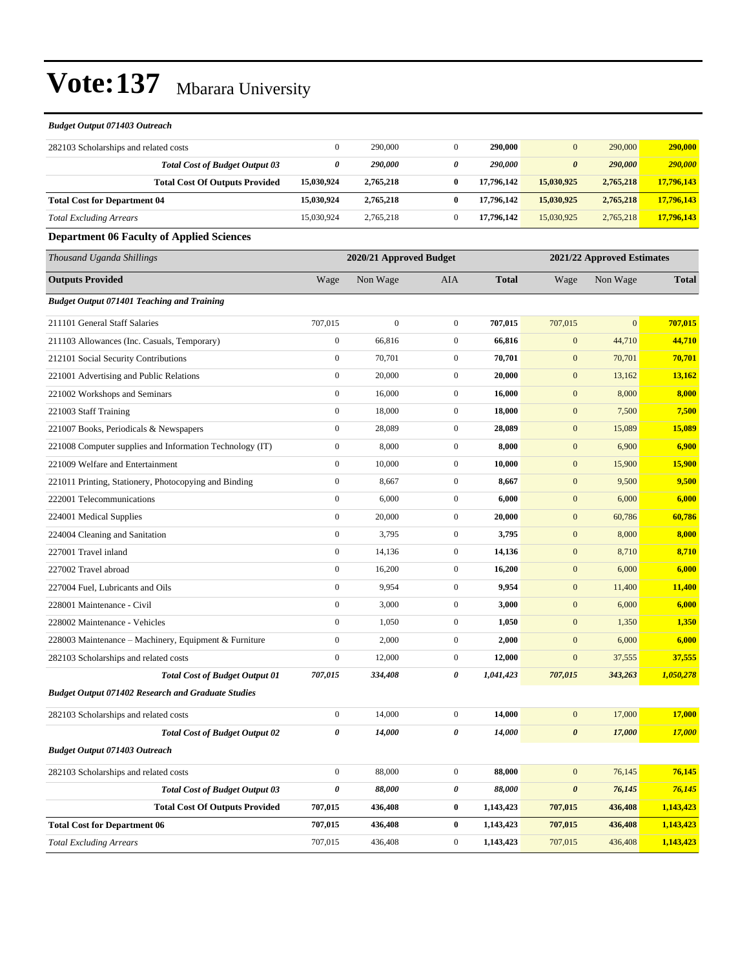| <b>Budget Output 071403 Outreach</b>                      |                                                       |                  |                  |              |                       |              |              |
|-----------------------------------------------------------|-------------------------------------------------------|------------------|------------------|--------------|-----------------------|--------------|--------------|
| 282103 Scholarships and related costs                     | $\mathbf{0}$                                          | 290,000          | $\mathbf{0}$     | 290,000      | $\mathbf{0}$          | 290,000      | 290,000      |
| <b>Total Cost of Budget Output 03</b>                     | 0                                                     | 290,000          | 0                | 290,000      | $\boldsymbol{\theta}$ | 290,000      | 290,000      |
| <b>Total Cost Of Outputs Provided</b>                     | 15,030,924                                            | 2,765,218        | $\bf{0}$         | 17,796,142   | 15,030,925            | 2,765,218    | 17,796,143   |
| <b>Total Cost for Department 04</b>                       | 15,030,924                                            | 2,765,218        | $\bf{0}$         | 17,796,142   | 15,030,925            | 2,765,218    | 17,796,143   |
| <b>Total Excluding Arrears</b>                            | 15,030,924                                            | 2,765,218        | $\mathbf{0}$     | 17,796,142   | 15,030,925            | 2,765,218    | 17,796,143   |
| <b>Department 06 Faculty of Applied Sciences</b>          |                                                       |                  |                  |              |                       |              |              |
| Thousand Uganda Shillings                                 | 2020/21 Approved Budget<br>2021/22 Approved Estimates |                  |                  |              |                       |              |              |
| <b>Outputs Provided</b>                                   | Wage                                                  | Non Wage         | AIA              | <b>Total</b> | Wage                  | Non Wage     | <b>Total</b> |
| <b>Budget Output 071401 Teaching and Training</b>         |                                                       |                  |                  |              |                       |              |              |
| 211101 General Staff Salaries                             | 707,015                                               | $\boldsymbol{0}$ | $\mathbf{0}$     | 707,015      | 707,015               | $\mathbf{0}$ | 707,015      |
| 211103 Allowances (Inc. Casuals, Temporary)               | $\boldsymbol{0}$                                      | 66,816           | $\mathbf{0}$     | 66,816       | $\boldsymbol{0}$      | 44,710       | 44,710       |
| 212101 Social Security Contributions                      | $\overline{0}$                                        | 70,701           | $\boldsymbol{0}$ | 70,701       | $\mathbf{0}$          | 70,701       | 70,701       |
| 221001 Advertising and Public Relations                   | $\boldsymbol{0}$                                      | 20,000           | $\mathbf{0}$     | 20,000       | $\mathbf{0}$          | 13,162       | 13,162       |
| 221002 Workshops and Seminars                             | $\overline{0}$                                        | 16,000           | $\mathbf{0}$     | 16,000       | $\boldsymbol{0}$      | 8,000        | 8,000        |
| 221003 Staff Training                                     | $\mathbf{0}$                                          | 18,000           | $\mathbf{0}$     | 18,000       | $\mathbf{0}$          | 7,500        | 7,500        |
| 221007 Books, Periodicals & Newspapers                    | $\boldsymbol{0}$                                      | 28,089           | $\mathbf{0}$     | 28,089       | $\boldsymbol{0}$      | 15,089       | 15,089       |
| 221008 Computer supplies and Information Technology (IT)  | $\overline{0}$                                        | 8,000            | $\boldsymbol{0}$ | 8,000        | $\mathbf{0}$          | 6,900        | 6,900        |
| 221009 Welfare and Entertainment                          | $\boldsymbol{0}$                                      | 10,000           | $\mathbf{0}$     | 10,000       | $\boldsymbol{0}$      | 15,900       | 15,900       |
| 221011 Printing, Stationery, Photocopying and Binding     | $\overline{0}$                                        | 8,667            | $\boldsymbol{0}$ | 8,667        | $\mathbf{0}$          | 9,500        | 9,500        |
| 222001 Telecommunications                                 | $\overline{0}$                                        | 6,000            | $\boldsymbol{0}$ | 6,000        | $\mathbf{0}$          | 6,000        | 6,000        |
| 224001 Medical Supplies                                   | $\boldsymbol{0}$                                      | 20,000           | $\mathbf{0}$     | 20,000       | $\boldsymbol{0}$      | 60,786       | 60,786       |
| 224004 Cleaning and Sanitation                            | $\overline{0}$                                        | 3,795            | $\boldsymbol{0}$ | 3,795        | $\mathbf{0}$          | 8,000        | 8,000        |
| 227001 Travel inland                                      | $\boldsymbol{0}$                                      | 14,136           | $\mathbf{0}$     | 14,136       | $\boldsymbol{0}$      | 8,710        | 8,710        |
| 227002 Travel abroad                                      | $\boldsymbol{0}$                                      | 16,200           | $\boldsymbol{0}$ | 16,200       | $\boldsymbol{0}$      | 6,000        | 6,000        |
| 227004 Fuel, Lubricants and Oils                          | $\overline{0}$                                        | 9,954            | $\boldsymbol{0}$ | 9,954        | $\boldsymbol{0}$      | 11,400       | 11,400       |
| 228001 Maintenance - Civil                                | $\boldsymbol{0}$                                      | 3,000            | $\mathbf{0}$     | 3,000        | $\boldsymbol{0}$      | 6,000        | 6,000        |
| 228002 Maintenance - Vehicles                             | $\overline{0}$                                        | 1,050            | $\boldsymbol{0}$ | 1,050        | $\boldsymbol{0}$      | 1,350        | 1,350        |
| 228003 Maintenance - Machinery, Equipment & Furniture     | $\boldsymbol{0}$                                      | 2,000            | $\mathbf{0}$     | 2,000        | $\boldsymbol{0}$      | 6,000        | 6,000        |
| 282103 Scholarships and related costs                     | $\boldsymbol{0}$                                      | 12,000           | $\boldsymbol{0}$ | 12,000       | $\mathbf{0}$          | 37,555       | 37,555       |
| <b>Total Cost of Budget Output 01</b>                     | 707,015                                               | 334,408          | 0                | 1,041,423    | 707,015               | 343,263      | 1,050,278    |
| <b>Budget Output 071402 Research and Graduate Studies</b> |                                                       |                  |                  |              |                       |              |              |
| 282103 Scholarships and related costs                     | $\boldsymbol{0}$                                      | 14,000           | $\boldsymbol{0}$ | 14,000       | $\mathbf{0}$          | 17,000       | 17,000       |
| <b>Total Cost of Budget Output 02</b>                     | $\pmb{\theta}$                                        | 14,000           | 0                | 14,000       | $\pmb{\theta}$        | 17,000       | 17,000       |
| <b>Budget Output 071403 Outreach</b>                      |                                                       |                  |                  |              |                       |              |              |
| 282103 Scholarships and related costs                     | $\boldsymbol{0}$                                      | 88,000           | $\boldsymbol{0}$ | 88,000       | $\boldsymbol{0}$      | 76,145       | 76,145       |
| <b>Total Cost of Budget Output 03</b>                     | $\pmb{\theta}$                                        | 88,000           | $\pmb{\theta}$   | 88,000       | $\pmb{\theta}$        | 76,145       | 76,145       |
| <b>Total Cost Of Outputs Provided</b>                     | 707,015                                               | 436,408          | $\boldsymbol{0}$ | 1,143,423    | 707,015               | 436,408      | 1,143,423    |
| <b>Total Cost for Department 06</b>                       | 707,015                                               | 436,408          | $\bf{0}$         | 1,143,423    | 707,015               | 436,408      | 1,143,423    |
| <b>Total Excluding Arrears</b>                            | 707,015                                               | 436,408          | $\boldsymbol{0}$ | 1,143,423    | 707,015               | 436,408      | 1,143,423    |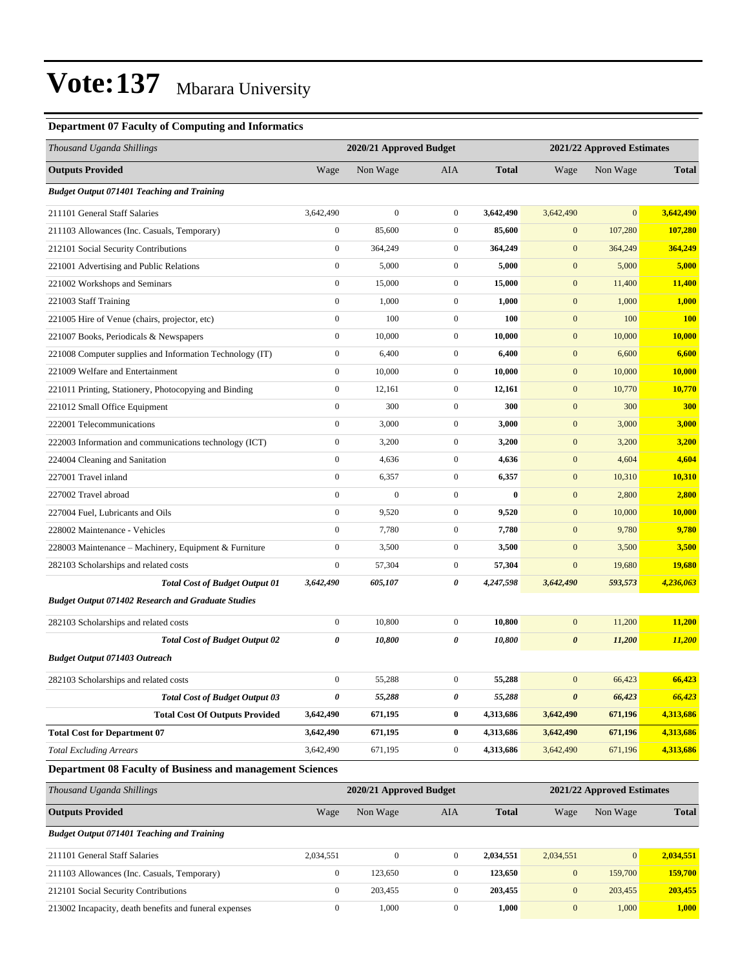#### **Department 07 Faculty of Computing and Informatics**

| Thousand Uganda Shillings                                 |                  | 2020/21 Approved Budget |                  |              |                       | 2021/22 Approved Estimates |                |
|-----------------------------------------------------------|------------------|-------------------------|------------------|--------------|-----------------------|----------------------------|----------------|
| <b>Outputs Provided</b>                                   | Wage             | Non Wage                | AIA              | <b>Total</b> | Wage                  | Non Wage                   | <b>Total</b>   |
| <b>Budget Output 071401 Teaching and Training</b>         |                  |                         |                  |              |                       |                            |                |
| 211101 General Staff Salaries                             | 3,642,490        | $\mathbf{0}$            | $\overline{0}$   | 3,642,490    | 3,642,490             | $\mathbf{0}$               | 3,642,490      |
| 211103 Allowances (Inc. Casuals, Temporary)               | $\boldsymbol{0}$ | 85,600                  | $\boldsymbol{0}$ | 85,600       | $\mathbf{0}$          | 107,280                    | 107,280        |
| 212101 Social Security Contributions                      | $\boldsymbol{0}$ | 364,249                 | $\boldsymbol{0}$ | 364,249      | $\mathbf{0}$          | 364,249                    | 364,249        |
| 221001 Advertising and Public Relations                   | $\boldsymbol{0}$ | 5,000                   | $\boldsymbol{0}$ | 5,000        | $\boldsymbol{0}$      | 5,000                      | 5,000          |
| 221002 Workshops and Seminars                             | $\boldsymbol{0}$ | 15,000                  | $\mathbf{0}$     | 15,000       | $\mathbf{0}$          | 11,400                     | 11,400         |
| 221003 Staff Training                                     | $\boldsymbol{0}$ | 1,000                   | $\mathbf{0}$     | 1,000        | $\boldsymbol{0}$      | 1,000                      | 1,000          |
| 221005 Hire of Venue (chairs, projector, etc)             | $\boldsymbol{0}$ | 100                     | $\mathbf{0}$     | 100          | $\mathbf{0}$          | 100                        | <b>100</b>     |
| 221007 Books, Periodicals & Newspapers                    | $\boldsymbol{0}$ | 10,000                  | $\mathbf{0}$     | 10,000       | $\mathbf{0}$          | 10,000                     | 10,000         |
| 221008 Computer supplies and Information Technology (IT)  | $\boldsymbol{0}$ | 6,400                   | $\boldsymbol{0}$ | 6,400        | $\boldsymbol{0}$      | 6,600                      | 6,600          |
| 221009 Welfare and Entertainment                          | $\boldsymbol{0}$ | 10,000                  | $\mathbf{0}$     | 10,000       | $\mathbf{0}$          | 10,000                     | 10,000         |
| 221011 Printing, Stationery, Photocopying and Binding     | $\boldsymbol{0}$ | 12,161                  | $\mathbf{0}$     | 12,161       | $\mathbf{0}$          | 10,770                     | <b>10,770</b>  |
| 221012 Small Office Equipment                             | $\boldsymbol{0}$ | 300                     | $\boldsymbol{0}$ | 300          | $\mathbf{0}$          | 300                        | 300            |
| 222001 Telecommunications                                 | $\boldsymbol{0}$ | 3,000                   | $\boldsymbol{0}$ | 3,000        | $\mathbf{0}$          | 3,000                      | 3,000          |
| 222003 Information and communications technology (ICT)    | $\boldsymbol{0}$ | 3,200                   | $\boldsymbol{0}$ | 3,200        | $\boldsymbol{0}$      | 3,200                      | 3,200          |
| 224004 Cleaning and Sanitation                            | $\boldsymbol{0}$ | 4,636                   | $\mathbf{0}$     | 4,636        | $\mathbf{0}$          | 4,604                      | 4,604          |
| 227001 Travel inland                                      | $\boldsymbol{0}$ | 6,357                   | $\boldsymbol{0}$ | 6,357        | $\mathbf{0}$          | 10,310                     | <b>10,310</b>  |
| 227002 Travel abroad                                      | $\boldsymbol{0}$ | $\mathbf{0}$            | $\mathbf{0}$     | $\bf{0}$     | $\mathbf{0}$          | 2,800                      | 2,800          |
| 227004 Fuel, Lubricants and Oils                          | $\boldsymbol{0}$ | 9,520                   | $\boldsymbol{0}$ | 9,520        | $\mathbf{0}$          | 10,000                     | 10,000         |
| 228002 Maintenance - Vehicles                             | $\boldsymbol{0}$ | 7,780                   | $\boldsymbol{0}$ | 7,780        | $\mathbf{0}$          | 9,780                      | 9,780          |
| 228003 Maintenance – Machinery, Equipment & Furniture     | $\boldsymbol{0}$ | 3,500                   | $\mathbf{0}$     | 3,500        | $\mathbf{0}$          | 3,500                      | 3,500          |
| 282103 Scholarships and related costs                     | $\boldsymbol{0}$ | 57,304                  | $\boldsymbol{0}$ | 57,304       | $\boldsymbol{0}$      | 19,680                     | <b>19,680</b>  |
| <b>Total Cost of Budget Output 01</b>                     | 3,642,490        | 605,107                 | 0                | 4,247,598    | 3,642,490             | 593,573                    | 4,236,063      |
| <b>Budget Output 071402 Research and Graduate Studies</b> |                  |                         |                  |              |                       |                            |                |
| 282103 Scholarships and related costs                     | $\boldsymbol{0}$ | 10,800                  | $\boldsymbol{0}$ | 10,800       | $\boldsymbol{0}$      | 11,200                     | 11,200         |
| <b>Total Cost of Budget Output 02</b>                     | 0                | 10,800                  | 0                | 10,800       | $\boldsymbol{\theta}$ | 11,200                     | 11,200         |
| <b>Budget Output 071403 Outreach</b>                      |                  |                         |                  |              |                       |                            |                |
| 282103 Scholarships and related costs                     | $\boldsymbol{0}$ | 55,288                  | $\mathbf{0}$     | 55,288       | $\mathbf{0}$          | 66,423                     | 66,423         |
| <b>Total Cost of Budget Output 03</b>                     | $\pmb{\theta}$   | 55,288                  | 0                | 55,288       | $\boldsymbol{\theta}$ | 66,423                     | 66,423         |
| <b>Total Cost Of Outputs Provided</b>                     | 3,642,490        | 671,195                 | $\bf{0}$         | 4,313,686    | 3,642,490             | 671,196                    | 4,313,686      |
| <b>Total Cost for Department 07</b>                       | 3,642,490        | 671,195                 | $\bf{0}$         | 4,313,686    | 3,642,490             | 671,196                    | 4,313,686      |
| <b>Total Excluding Arrears</b>                            | 3,642,490        | 671,195                 | $\boldsymbol{0}$ | 4,313,686    | 3,642,490             | 671,196                    | 4,313,686      |
| Department 08 Faculty of Business and management Sciences |                  |                         |                  |              |                       |                            |                |
| Thousand Uganda Shillings                                 |                  | 2020/21 Approved Budget |                  |              |                       | 2021/22 Approved Estimates |                |
| <b>Outputs Provided</b>                                   | Wage             | Non Wage                | AIA              | <b>Total</b> | Wage                  | Non Wage                   | <b>Total</b>   |
| <b>Budget Output 071401 Teaching and Training</b>         |                  |                         |                  |              |                       |                            |                |
| 211101 General Staff Salaries                             | 2,034,551        | $\boldsymbol{0}$        | $\boldsymbol{0}$ | 2,034,551    | 2,034,551             | $\mathbf{0}$               | 2,034,551      |
| 211103 Allowances (Inc. Casuals, Temporary)               | $\boldsymbol{0}$ | 123,650                 | $\boldsymbol{0}$ | 123,650      | $\boldsymbol{0}$      | 159,700                    | <b>159,700</b> |
| 212101 Social Security Contributions                      | $\boldsymbol{0}$ | 203,455                 | $\boldsymbol{0}$ | 203,455      | $\boldsymbol{0}$      | 203,455                    | 203,455        |
| 213002 Incapacity, death benefits and funeral expenses    | $\boldsymbol{0}$ | 1,000                   | $\boldsymbol{0}$ | 1,000        | $\boldsymbol{0}$      | 1,000                      | 1,000          |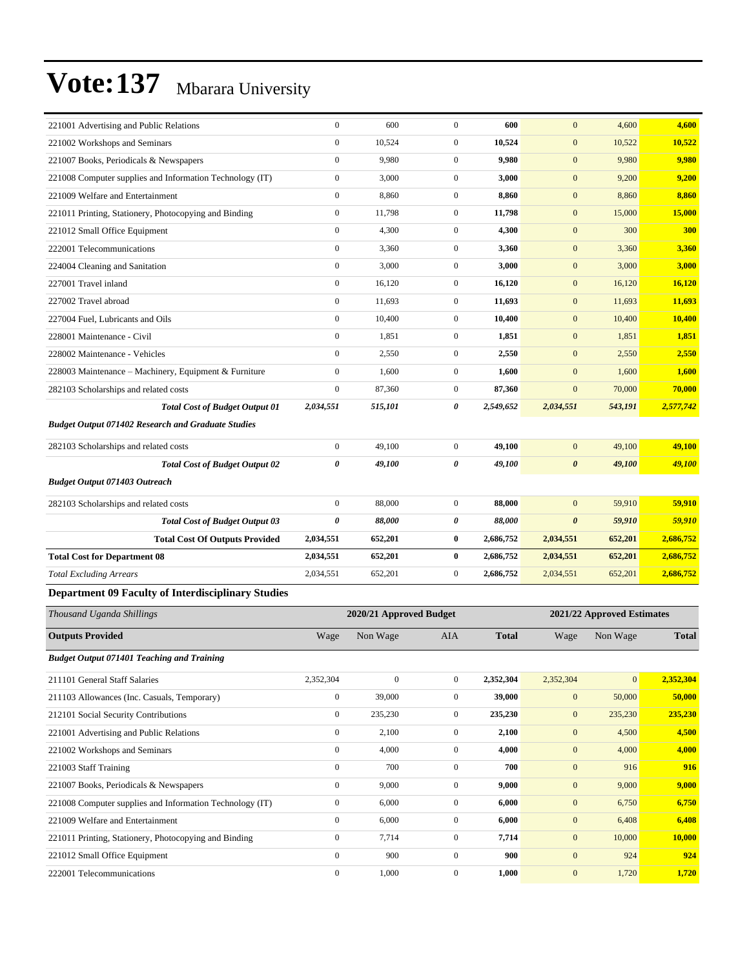| 221001 Advertising and Public Relations                   | $\mathbf{0}$          | 600                     | $\mathbf{0}$     | 600          | $\mathbf{0}$          | 4,600                      | 4,600        |
|-----------------------------------------------------------|-----------------------|-------------------------|------------------|--------------|-----------------------|----------------------------|--------------|
| 221002 Workshops and Seminars                             | $\mathbf{0}$          | 10,524                  | $\overline{0}$   | 10,524       | $\mathbf{0}$          | 10,522                     | 10,522       |
| 221007 Books, Periodicals & Newspapers                    | $\boldsymbol{0}$      | 9,980                   | $\overline{0}$   | 9,980        | $\boldsymbol{0}$      | 9,980                      | 9,980        |
| 221008 Computer supplies and Information Technology (IT)  | $\boldsymbol{0}$      | 3,000                   | $\boldsymbol{0}$ | 3,000        | $\mathbf{0}$          | 9,200                      | 9,200        |
| 221009 Welfare and Entertainment                          | $\mathbf{0}$          | 8,860                   | $\overline{0}$   | 8,860        | $\mathbf{0}$          | 8,860                      | 8,860        |
| 221011 Printing, Stationery, Photocopying and Binding     | $\mathbf{0}$          | 11,798                  | $\mathbf{0}$     | 11,798       | $\mathbf{0}$          | 15,000                     | 15,000       |
| 221012 Small Office Equipment                             | $\boldsymbol{0}$      | 4,300                   | $\boldsymbol{0}$ | 4,300        | $\boldsymbol{0}$      | 300                        | 300          |
| 222001 Telecommunications                                 | $\mathbf{0}$          | 3,360                   | $\mathbf{0}$     | 3,360        | $\mathbf{0}$          | 3,360                      | 3,360        |
| 224004 Cleaning and Sanitation                            | $\mathbf{0}$          | 3,000                   | $\overline{0}$   | 3,000        | $\mathbf{0}$          | 3,000                      | 3,000        |
| 227001 Travel inland                                      | $\boldsymbol{0}$      | 16,120                  | $\overline{0}$   | 16,120       | $\mathbf{0}$          | 16,120                     | 16,120       |
| 227002 Travel abroad                                      | $\boldsymbol{0}$      | 11,693                  | $\boldsymbol{0}$ | 11,693       | $\boldsymbol{0}$      | 11,693                     | 11,693       |
| 227004 Fuel, Lubricants and Oils                          | $\mathbf{0}$          | 10,400                  | $\overline{0}$   | 10,400       | $\mathbf{0}$          | 10,400                     | 10,400       |
| 228001 Maintenance - Civil                                | $\mathbf{0}$          | 1,851                   | $\overline{0}$   | 1,851        | $\mathbf{0}$          | 1,851                      | 1,851        |
| 228002 Maintenance - Vehicles                             | $\boldsymbol{0}$      | 2,550                   | $\overline{0}$   | 2,550        | $\boldsymbol{0}$      | 2,550                      | 2,550        |
| 228003 Maintenance - Machinery, Equipment & Furniture     | $\mathbf{0}$          | 1,600                   | $\overline{0}$   | 1,600        | $\mathbf{0}$          | 1,600                      | 1,600        |
| 282103 Scholarships and related costs                     | $\boldsymbol{0}$      | 87,360                  | $\overline{0}$   | 87,360       | $\mathbf{0}$          | 70,000                     | 70,000       |
| <b>Total Cost of Budget Output 01</b>                     | 2,034,551             | 515,101                 | 0                | 2,549,652    | 2,034,551             | 543,191                    | 2,577,742    |
| <b>Budget Output 071402 Research and Graduate Studies</b> |                       |                         |                  |              |                       |                            |              |
| 282103 Scholarships and related costs                     | $\boldsymbol{0}$      | 49,100                  | $\boldsymbol{0}$ | 49,100       | $\mathbf{0}$          | 49,100                     | 49,100       |
| <b>Total Cost of Budget Output 02</b>                     | 0                     | 49,100                  | 0                | 49,100       | $\boldsymbol{\theta}$ | 49,100                     | 49,100       |
| <b>Budget Output 071403 Outreach</b>                      |                       |                         |                  |              |                       |                            |              |
| 282103 Scholarships and related costs                     | $\boldsymbol{0}$      | 88,000                  | $\boldsymbol{0}$ | 88,000       | $\mathbf{0}$          | 59,910                     | 59,910       |
| <b>Total Cost of Budget Output 03</b>                     | $\boldsymbol{\theta}$ | 88,000                  | 0                | 88,000       | $\boldsymbol{\theta}$ | 59,910                     | 59,910       |
| <b>Total Cost Of Outputs Provided</b>                     | 2,034,551             | 652,201                 | $\bf{0}$         | 2,686,752    | 2,034,551             | 652,201                    | 2,686,752    |
| <b>Total Cost for Department 08</b>                       | 2,034,551             | 652,201                 | $\bf{0}$         | 2,686,752    | 2,034,551             | 652,201                    | 2,686,752    |
| <b>Total Excluding Arrears</b>                            | 2,034,551             | 652,201                 | $\overline{0}$   | 2,686,752    | 2,034,551             | 652,201                    | 2,686,752    |
| <b>Department 09 Faculty of Interdisciplinary Studies</b> |                       |                         |                  |              |                       |                            |              |
| Thousand Uganda Shillings                                 |                       | 2020/21 Approved Budget |                  |              |                       | 2021/22 Approved Estimates |              |
| <b>Outputs Provided</b>                                   | Wage                  | Non Wage                | AIA              | <b>Total</b> | Wage                  | Non Wage                   | <b>Total</b> |

#### *Budget Output 071401 Teaching and Training*

| 211101 General Staff Salaries                            | 2,352,304    | $\mathbf{0}$ | $\overline{0}$ | 2,352,304 | 2,352,304        | $\overline{0}$ | 2,352,304 |
|----------------------------------------------------------|--------------|--------------|----------------|-----------|------------------|----------------|-----------|
| 211103 Allowances (Inc. Casuals, Temporary)              | $\mathbf{0}$ | 39,000       | $\overline{0}$ | 39,000    | $\mathbf{0}$     | 50,000         | 50,000    |
| 212101 Social Security Contributions                     | $\mathbf{0}$ | 235,230      | $\mathbf{0}$   | 235,230   | $\mathbf{0}$     | 235,230        | 235,230   |
| 221001 Advertising and Public Relations                  | $\mathbf{0}$ | 2,100        | $\mathbf{0}$   | 2,100     | $\mathbf{0}$     | 4,500          | 4,500     |
| 221002 Workshops and Seminars                            | $\mathbf{0}$ | 4,000        | $\mathbf{0}$   | 4,000     | $\boldsymbol{0}$ | 4,000          | 4,000     |
| 221003 Staff Training                                    | $\mathbf{0}$ | 700          | $\mathbf{0}$   | 700       | $\mathbf{0}$     | 916            | 916       |
| 221007 Books, Periodicals & Newspapers                   | $\mathbf{0}$ | 9,000        | $\mathbf{0}$   | 9,000     | $\mathbf{0}$     | 9,000          | 9,000     |
| 221008 Computer supplies and Information Technology (IT) | $\mathbf{0}$ | 6,000        | $\mathbf{0}$   | 6,000     | $\mathbf{0}$     | 6,750          | 6,750     |
| 221009 Welfare and Entertainment                         | $\mathbf{0}$ | 6,000        | $\mathbf{0}$   | 6,000     | $\mathbf{0}$     | 6,408          | 6,408     |
| 221011 Printing, Stationery, Photocopying and Binding    | $\mathbf{0}$ | 7,714        | $\mathbf{0}$   | 7,714     | $\mathbf{0}$     | 10,000         | 10,000    |
| 221012 Small Office Equipment                            | $\mathbf{0}$ | 900          | $\mathbf{0}$   | 900       | $\mathbf{0}$     | 924            | 924       |
| 222001 Telecommunications                                | $\mathbf{0}$ | 1,000        | $\mathbf{0}$   | 1,000     | $\boldsymbol{0}$ | 1,720          | 1,720     |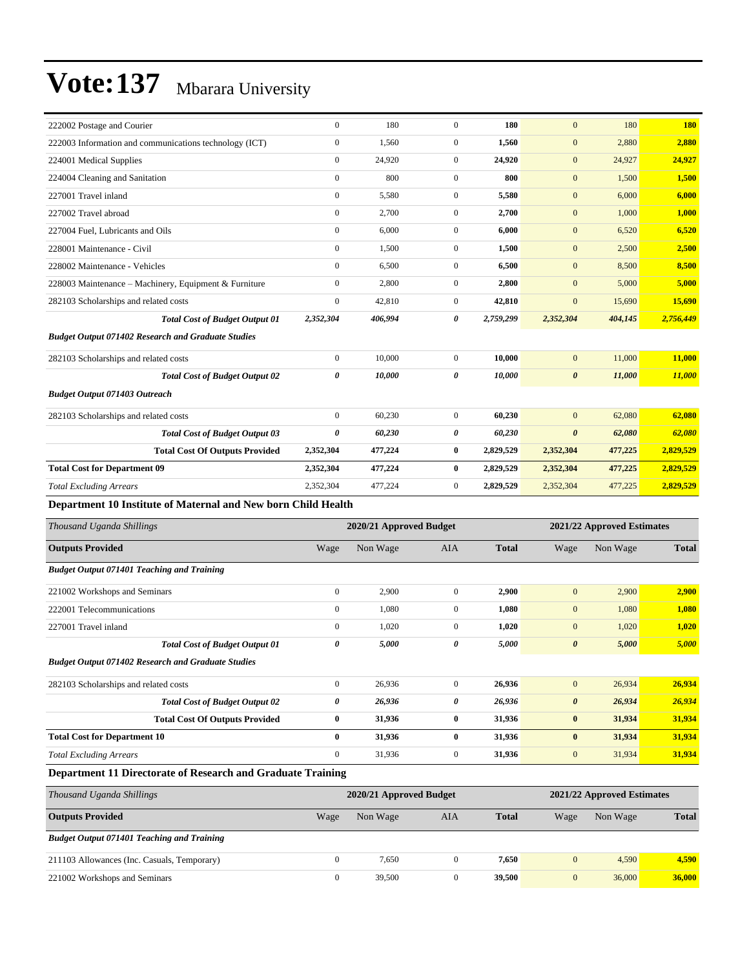| 222002 Postage and Courier                                    | $\mathbf{0}$              | 180     | $\mathbf{0}$   | 180       | $\mathbf{0}$          | 180                        | <b>180</b> |
|---------------------------------------------------------------|---------------------------|---------|----------------|-----------|-----------------------|----------------------------|------------|
| 222003 Information and communications technology (ICT)        | $\mathbf{0}$              | 1.560   | $\overline{0}$ | 1,560     | $\mathbf{0}$          | 2,880                      | 2,880      |
| 224001 Medical Supplies                                       | $\mathbf{0}$              | 24,920  | $\overline{0}$ | 24,920    | $\mathbf{0}$          | 24,927                     | 24,927     |
| 224004 Cleaning and Sanitation                                | $\mathbf{0}$              | 800     | $\overline{0}$ | 800       | $\mathbf{0}$          | 1,500                      | 1,500      |
| 227001 Travel inland                                          | $\boldsymbol{0}$          | 5,580   | $\mathbf{0}$   | 5,580     | $\mathbf{0}$          | 6,000                      | 6,000      |
| 227002 Travel abroad                                          | $\mathbf{0}$              | 2,700   | $\overline{0}$ | 2,700     | $\mathbf{0}$          | 1,000                      | 1,000      |
| 227004 Fuel, Lubricants and Oils                              | $\mathbf{0}$              | 6,000   | $\overline{0}$ | 6.000     | $\mathbf{0}$          | 6,520                      | 6,520      |
| 228001 Maintenance - Civil                                    | $\mathbf{0}$              | 1,500   | $\overline{0}$ | 1,500     | $\mathbf{0}$          | 2,500                      | 2,500      |
| 228002 Maintenance - Vehicles                                 | $\mathbf{0}$              | 6,500   | $\overline{0}$ | 6,500     | $\mathbf{0}$          | 8,500                      | 8,500      |
| 228003 Maintenance - Machinery, Equipment & Furniture         | $\mathbf{0}$              | 2,800   | $\overline{0}$ | 2,800     | $\mathbf{0}$          | 5,000                      | 5,000      |
| 282103 Scholarships and related costs                         | $\boldsymbol{0}$          | 42,810  | $\mathbf{0}$   | 42,810    | $\mathbf{0}$          | 15,690                     | 15,690     |
| <b>Total Cost of Budget Output 01</b>                         | 2,352,304                 | 406,994 | 0              | 2,759,299 | 2,352,304             | 404,145                    | 2,756,449  |
| <b>Budget Output 071402 Research and Graduate Studies</b>     |                           |         |                |           |                       |                            |            |
| 282103 Scholarships and related costs                         | $\boldsymbol{0}$          | 10,000  | $\overline{0}$ | 10,000    | $\mathbf{0}$          | 11,000                     | 11,000     |
| <b>Total Cost of Budget Output 02</b>                         | 0                         | 10,000  | 0              | 10,000    | $\boldsymbol{\theta}$ | 11,000                     | 11,000     |
| <b>Budget Output 071403 Outreach</b>                          |                           |         |                |           |                       |                            |            |
| 282103 Scholarships and related costs                         | $\mathbf{0}$              | 60,230  | $\overline{0}$ | 60,230    | $\mathbf{0}$          | 62,080                     | 62,080     |
| <b>Total Cost of Budget Output 03</b>                         | $\boldsymbol{\theta}$     | 60,230  | 0              | 60,230    | $\boldsymbol{\theta}$ | 62,080                     | 62,080     |
| <b>Total Cost Of Outputs Provided</b>                         | 2,352,304                 | 477,224 | $\bf{0}$       | 2,829,529 | 2,352,304             | 477,225                    | 2,829,529  |
| <b>Total Cost for Department 09</b>                           | 2,352,304                 | 477,224 | $\bf{0}$       | 2,829,529 | 2,352,304             | 477,225                    | 2,829,529  |
| <b>Total Excluding Arrears</b>                                | 2,352,304                 | 477,224 | $\mathbf{0}$   | 2,829,529 | 2,352,304             | 477,225                    | 2,829,529  |
| Department 10 Institute of Maternal and New born Child Health |                           |         |                |           |                       |                            |            |
| Thousand Hogyda Shillings                                     | $2020/21$ Approved Dudget |         |                |           |                       | 2021/22 Annuavad Estimates |            |

| Thousand Uganda Shillings                                   |              | 2020/21 Approved Budget |              |              |                       | 2021/22 Approved Estimates |              |
|-------------------------------------------------------------|--------------|-------------------------|--------------|--------------|-----------------------|----------------------------|--------------|
| <b>Outputs Provided</b>                                     | Wage         | Non Wage                | AIA          | <b>Total</b> | Wage                  | Non Wage                   | <b>Total</b> |
| <b>Budget Output 071401 Teaching and Training</b>           |              |                         |              |              |                       |                            |              |
| 221002 Workshops and Seminars                               | $\mathbf{0}$ | 2,900                   | $\mathbf{0}$ | 2,900        | $\mathbf{0}$          | 2,900                      | 2,900        |
| 222001 Telecommunications                                   | $\bf{0}$     | 1,080                   | $\mathbf{0}$ | 1,080        | $\mathbf{0}$          | 1,080                      | 1,080        |
| 227001 Travel inland                                        | $\mathbf{0}$ | 1,020                   | $\mathbf{0}$ | 1,020        | $\mathbf{0}$          | 1,020                      | 1,020        |
| <b>Total Cost of Budget Output 01</b>                       | 0            | 5,000                   | 0            | 5,000        | $\boldsymbol{\theta}$ | 5,000                      | 5,000        |
| <b>Budget Output 071402 Research and Graduate Studies</b>   |              |                         |              |              |                       |                            |              |
| 282103 Scholarships and related costs                       | $\mathbf{0}$ | 26,936                  | $\mathbf{0}$ | 26,936       | $\mathbf{0}$          | 26,934                     | 26,934       |
| <b>Total Cost of Budget Output 02</b>                       | 0            | 26,936                  | 0            | 26,936       | $\boldsymbol{\theta}$ | 26,934                     | 26,934       |
| <b>Total Cost Of Outputs Provided</b>                       | $\bf{0}$     | 31,936                  | $\bf{0}$     | 31,936       | $\bf{0}$              | 31,934                     | 31,934       |
| <b>Total Cost for Department 10</b>                         | $\bf{0}$     | 31,936                  | $\bf{0}$     | 31,936       | $\bf{0}$              | 31,934                     | 31,934       |
| <b>Total Excluding Arrears</b>                              | $\mathbf{0}$ | 31,936                  | 0            | 31,936       | $\mathbf{0}$          | 31,934                     | 31,934       |
| Department 11 Directorate of Research and Graduate Training |              |                         |              |              |                       |                            |              |

| Thousand Uganda Shillings                         | 2020/21 Approved Budget |          |     |        |      | 2021/22 Approved Estimates |              |  |
|---------------------------------------------------|-------------------------|----------|-----|--------|------|----------------------------|--------------|--|
| <b>Outputs Provided</b>                           | Wage                    | Non Wage | AIA | Total  | Wage | Non Wage                   | <b>Total</b> |  |
| <b>Budget Output 071401 Teaching and Training</b> |                         |          |     |        |      |                            |              |  |
| 211103 Allowances (Inc. Casuals, Temporary)       |                         | 7,650    |     | 7,650  |      | 4,590                      | 4,590        |  |
| 221002 Workshops and Seminars                     |                         | 39,500   |     | 39,500 |      | 36,000                     | 36,000       |  |